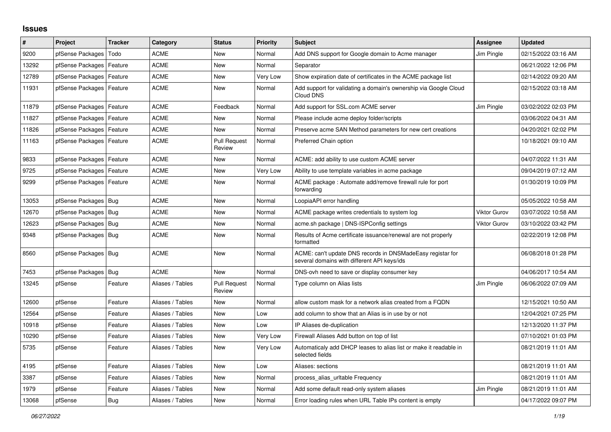## **Issues**

| #     | Project                    | <b>Tracker</b> | Category         | <b>Status</b>                 | <b>Priority</b> | <b>Subject</b>                                                                                            | Assignee            | <b>Updated</b>      |
|-------|----------------------------|----------------|------------------|-------------------------------|-----------------|-----------------------------------------------------------------------------------------------------------|---------------------|---------------------|
| 9200  | pfSense Packages           | Todo           | <b>ACME</b>      | New                           | Normal          | Add DNS support for Google domain to Acme manager                                                         | Jim Pingle          | 02/15/2022 03:16 AM |
| 13292 | pfSense Packages           | Feature        | <b>ACME</b>      | <b>New</b>                    | Normal          | Separator                                                                                                 |                     | 06/21/2022 12:06 PM |
| 12789 | pfSense Packages           | Feature        | <b>ACME</b>      | <b>New</b>                    | Very Low        | Show expiration date of certificates in the ACME package list                                             |                     | 02/14/2022 09:20 AM |
| 11931 | pfSense Packages   Feature |                | ACME             | New                           | Normal          | Add support for validating a domain's ownership via Google Cloud<br>Cloud DNS                             |                     | 02/15/2022 03:18 AM |
| 11879 | pfSense Packages   Feature |                | <b>ACME</b>      | Feedback                      | Normal          | Add support for SSL.com ACME server                                                                       | Jim Pingle          | 03/02/2022 02:03 PM |
| 11827 | pfSense Packages           | Feature        | <b>ACME</b>      | <b>New</b>                    | Normal          | Please include acme deploy folder/scripts                                                                 |                     | 03/06/2022 04:31 AM |
| 11826 | pfSense Packages   Feature |                | <b>ACME</b>      | New                           | Normal          | Preserve acme SAN Method parameters for new cert creations                                                |                     | 04/20/2021 02:02 PM |
| 11163 | pfSense Packages   Feature |                | ACME             | <b>Pull Request</b><br>Review | Normal          | Preferred Chain option                                                                                    |                     | 10/18/2021 09:10 AM |
| 9833  | pfSense Packages   Feature |                | <b>ACME</b>      | New                           | Normal          | ACME: add ability to use custom ACME server                                                               |                     | 04/07/2022 11:31 AM |
| 9725  | pfSense Packages   Feature |                | ACME             | New                           | Very Low        | Ability to use template variables in acme package                                                         |                     | 09/04/2019 07:12 AM |
| 9299  | pfSense Packages   Feature |                | <b>ACME</b>      | <b>New</b>                    | Normal          | ACME package: Automate add/remove firewall rule for port<br>forwarding                                    |                     | 01/30/2019 10:09 PM |
| 13053 | pfSense Packages   Bug     |                | <b>ACME</b>      | <b>New</b>                    | Normal          | LoopiaAPI error handling                                                                                  |                     | 05/05/2022 10:58 AM |
| 12670 | pfSense Packages   Bug     |                | ACME             | New                           | Normal          | ACME package writes credentials to system log                                                             | <b>Viktor Gurov</b> | 03/07/2022 10:58 AM |
| 12623 | pfSense Packages   Bug     |                | ACME             | New                           | Normal          | acme.sh package   DNS-ISPConfig settings                                                                  | <b>Viktor Gurov</b> | 03/10/2022 03:42 PM |
| 9348  | pfSense Packages   Bug     |                | <b>ACME</b>      | <b>New</b>                    | Normal          | Results of Acme certificate issuance/renewal are not properly<br>formatted                                |                     | 02/22/2019 12:08 PM |
| 8560  | pfSense Packages   Bug     |                | <b>ACME</b>      | <b>New</b>                    | Normal          | ACME: can't update DNS records in DNSMadeEasy registar for<br>several domains with different API keys/ids |                     | 06/08/2018 01:28 PM |
| 7453  | pfSense Packages   Bug     |                | <b>ACME</b>      | <b>New</b>                    | Normal          | DNS-ovh need to save or display consumer key                                                              |                     | 04/06/2017 10:54 AM |
| 13245 | pfSense                    | Feature        | Aliases / Tables | <b>Pull Request</b><br>Review | Normal          | Type column on Alias lists                                                                                | Jim Pingle          | 06/06/2022 07:09 AM |
| 12600 | pfSense                    | Feature        | Aliases / Tables | <b>New</b>                    | Normal          | allow custom mask for a network alias created from a FQDN                                                 |                     | 12/15/2021 10:50 AM |
| 12564 | pfSense                    | Feature        | Aliases / Tables | New                           | Low             | add column to show that an Alias is in use by or not                                                      |                     | 12/04/2021 07:25 PM |
| 10918 | pfSense                    | Feature        | Aliases / Tables | New                           | Low             | IP Aliases de-duplication                                                                                 |                     | 12/13/2020 11:37 PM |
| 10290 | pfSense                    | Feature        | Aliases / Tables | New                           | Very Low        | Firewall Aliases Add button on top of list                                                                |                     | 07/10/2021 01:03 PM |
| 5735  | pfSense                    | Feature        | Aliases / Tables | New                           | Very Low        | Automaticaly add DHCP leases to alias list or make it readable in<br>selected fields                      |                     | 08/21/2019 11:01 AM |
| 4195  | pfSense                    | Feature        | Aliases / Tables | <b>New</b>                    | Low             | Aliases: sections                                                                                         |                     | 08/21/2019 11:01 AM |
| 3387  | pfSense                    | Feature        | Aliases / Tables | <b>New</b>                    | Normal          | process_alias_urltable Frequency                                                                          |                     | 08/21/2019 11:01 AM |
| 1979  | pfSense                    | Feature        | Aliases / Tables | New                           | Normal          | Add some default read-only system aliases                                                                 | Jim Pingle          | 08/21/2019 11:01 AM |
| 13068 | pfSense                    | Bug            | Aliases / Tables | New                           | Normal          | Error loading rules when URL Table IPs content is empty                                                   |                     | 04/17/2022 09:07 PM |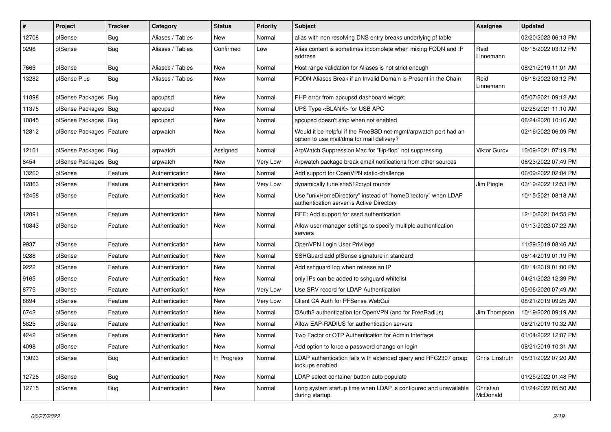| $\vert$ # | Project                    | Tracker    | Category         | <b>Status</b> | <b>Priority</b> | <b>Subject</b>                                                                                                | Assignee              | <b>Updated</b>      |
|-----------|----------------------------|------------|------------------|---------------|-----------------|---------------------------------------------------------------------------------------------------------------|-----------------------|---------------------|
| 12708     | pfSense                    | Bug        | Aliases / Tables | New           | Normal          | alias with non resolving DNS entry breaks underlying pf table                                                 |                       | 02/20/2022 06:13 PM |
| 9296      | pfSense                    | Bug        | Aliases / Tables | Confirmed     | Low             | Alias content is sometimes incomplete when mixing FQDN and IP<br>address                                      | Reid<br>Linnemann     | 06/18/2022 03:12 PM |
| 7665      | pfSense                    | Bug        | Aliases / Tables | <b>New</b>    | Normal          | Host range validation for Aliases is not strict enough                                                        |                       | 08/21/2019 11:01 AM |
| 13282     | pfSense Plus               | Bug        | Aliases / Tables | New           | Normal          | FQDN Aliases Break if an Invalid Domain is Present in the Chain                                               | Reid<br>Linnemann     | 06/18/2022 03:12 PM |
| 11898     | pfSense Packages   Bug     |            | apcupsd          | New           | Normal          | PHP error from apcupsd dashboard widget                                                                       |                       | 05/07/2021 09:12 AM |
| 11375     | pfSense Packages   Bug     |            | apcupsd          | New           | Normal          | UPS Type <blank> for USB APC</blank>                                                                          |                       | 02/26/2021 11:10 AM |
| 10845     | pfSense Packages   Bug     |            | apcupsd          | New           | Normal          | apcupsd doesn't stop when not enabled                                                                         |                       | 08/24/2020 10:16 AM |
| 12812     | pfSense Packages   Feature |            | arpwatch         | New           | Normal          | Would it be helpful if the FreeBSD net-mgmt/arpwatch port had an<br>option to use mail/dma for mail delivery? |                       | 02/16/2022 06:09 PM |
| 12101     | pfSense Packages   Bug     |            | arpwatch         | Assigned      | Normal          | ArpWatch Suppression Mac for "flip-flop" not suppressing                                                      | <b>Viktor Gurov</b>   | 10/09/2021 07:19 PM |
| 8454      | pfSense Packages   Bug     |            | arpwatch         | New           | Very Low        | Arpwatch package break email notifications from other sources                                                 |                       | 06/23/2022 07:49 PM |
| 13260     | pfSense                    | Feature    | Authentication   | New           | Normal          | Add support for OpenVPN static-challenge                                                                      |                       | 06/09/2022 02:04 PM |
| 12863     | pfSense                    | Feature    | Authentication   | New           | Very Low        | dynamically tune sha512crypt rounds                                                                           | Jim Pingle            | 03/19/2022 12:53 PM |
| 12458     | pfSense                    | Feature    | Authentication   | New           | Normal          | Use "unixHomeDirectory" instead of "homeDirectory" when LDAP<br>authentication server is Active Directory     |                       | 10/15/2021 08:18 AM |
| 12091     | pfSense                    | Feature    | Authentication   | <b>New</b>    | Normal          | RFE: Add support for sssd authentication                                                                      |                       | 12/10/2021 04:55 PM |
| 10843     | pfSense                    | Feature    | Authentication   | New           | Normal          | Allow user manager settings to specify multiple authentication<br>servers                                     |                       | 01/13/2022 07:22 AM |
| 9937      | pfSense                    | Feature    | Authentication   | <b>New</b>    | Normal          | OpenVPN Login User Privilege                                                                                  |                       | 11/29/2019 08:46 AM |
| 9288      | pfSense                    | Feature    | Authentication   | New           | Normal          | SSHGuard add pfSense signature in standard                                                                    |                       | 08/14/2019 01:19 PM |
| 9222      | pfSense                    | Feature    | Authentication   | New           | Normal          | Add sshguard log when release an IP                                                                           |                       | 08/14/2019 01:00 PM |
| 9165      | pfSense                    | Feature    | Authentication   | New           | Normal          | only IPs can be added to sshguard whitelist                                                                   |                       | 04/21/2022 12:39 PM |
| 8775      | pfSense                    | Feature    | Authentication   | New           | Very Low        | Use SRV record for LDAP Authentication                                                                        |                       | 05/06/2020 07:49 AM |
| 8694      | pfSense                    | Feature    | Authentication   | New           | Very Low        | Client CA Auth for PFSense WebGui                                                                             |                       | 08/21/2019 09:25 AM |
| 6742      | pfSense                    | Feature    | Authentication   | New           | Normal          | OAuth2 authentication for OpenVPN (and for FreeRadius)                                                        | Jim Thompson          | 10/19/2020 09:19 AM |
| 5825      | pfSense                    | Feature    | Authentication   | New           | Normal          | Allow EAP-RADIUS for authentication servers                                                                   |                       | 08/21/2019 10:32 AM |
| 4242      | pfSense                    | Feature    | Authentication   | New           | Normal          | Two Factor or OTP Authentication for Admin Interface                                                          |                       | 01/04/2022 12:07 PM |
| 4098      | ptSense                    | Feature    | Authentication   | New           | Normal          | Add option to force a password change on login                                                                |                       | 08/21/2019 10:31 AM |
| 13093     | pfSense                    | <b>Bug</b> | Authentication   | In Progress   | Normal          | LDAP authentication fails with extended query and RFC2307 group<br>lookups enabled                            | Chris Linstruth       | 05/31/2022 07:20 AM |
| 12726     | pfSense                    | <b>Bug</b> | Authentication   | New           | Normal          | LDAP select container button auto populate                                                                    |                       | 01/25/2022 01:48 PM |
| 12715     | pfSense                    | Bug        | Authentication   | New           | Normal          | Long system startup time when LDAP is configured and unavailable<br>during startup.                           | Christian<br>McDonald | 01/24/2022 05:50 AM |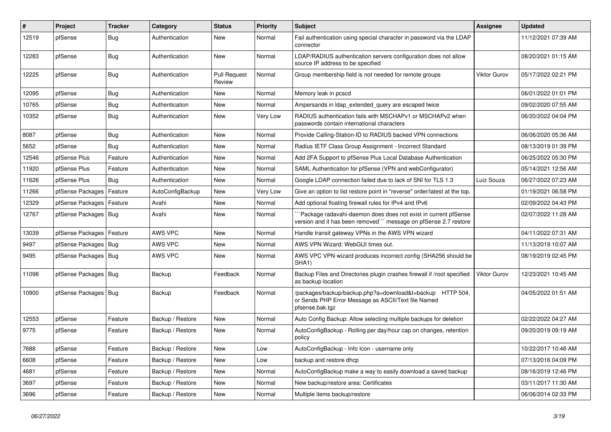| #     | Project                    | <b>Tracker</b> | Category         | <b>Status</b>                 | <b>Priority</b> | <b>Subject</b>                                                                                                                      | <b>Assignee</b> | <b>Updated</b>      |
|-------|----------------------------|----------------|------------------|-------------------------------|-----------------|-------------------------------------------------------------------------------------------------------------------------------------|-----------------|---------------------|
| 12519 | pfSense                    | Bug            | Authentication   | New                           | Normal          | Fail authentication using special character in password via the LDAP<br>connector                                                   |                 | 11/12/2021 07:39 AM |
| 12283 | pfSense                    | Bug            | Authentication   | New                           | Normal          | LDAP/RADIUS authentication servers configuration does not allow<br>source IP address to be specified                                |                 | 08/20/2021 01:15 AM |
| 12225 | pfSense                    | Bug            | Authentication   | <b>Pull Request</b><br>Review | Normal          | Group membership field is not needed for remote groups                                                                              | Viktor Gurov    | 05/17/2022 02:21 PM |
| 12095 | pfSense                    | Bug            | Authentication   | New                           | Normal          | Memory leak in pcscd                                                                                                                |                 | 06/01/2022 01:01 PM |
| 10765 | pfSense                    | Bug            | Authentication   | <b>New</b>                    | Normal          | Ampersands in Idap_extended_query are escaped twice                                                                                 |                 | 09/02/2020 07:55 AM |
| 10352 | pfSense                    | Bug            | Authentication   | New                           | Very Low        | RADIUS authentication fails with MSCHAPv1 or MSCHAPv2 when<br>passwords contain international characters                            |                 | 06/20/2022 04:04 PM |
| 8087  | pfSense                    | <b>Bug</b>     | Authentication   | New                           | Normal          | Provide Calling-Station-ID to RADIUS backed VPN connections                                                                         |                 | 06/06/2020 05:36 AM |
| 5652  | pfSense                    | Bug            | Authentication   | <b>New</b>                    | Normal          | Radius IETF Class Group Assignment - Incorrect Standard                                                                             |                 | 08/13/2019 01:39 PM |
| 12546 | pfSense Plus               | Feature        | Authentication   | <b>New</b>                    | Normal          | Add 2FA Support to pfSense Plus Local Database Authentication                                                                       |                 | 06/25/2022 05:30 PM |
| 11920 | pfSense Plus               | Feature        | Authentication   | New                           | Normal          | SAML Authentication for pfSense (VPN and webConfigurator)                                                                           |                 | 05/14/2021 12:56 AM |
| 11626 | pfSense Plus               | Bug            | Authentication   | New                           | Normal          | Google LDAP connection failed due to lack of SNI for TLS 1.3                                                                        | Luiz Souza      | 06/27/2022 07:23 AM |
| 11266 | pfSense Packages           | Feature        | AutoConfigBackup | New                           | Very Low        | Give an option to list restore point in "reverse" order/latest at the top.                                                          |                 | 01/19/2021 06:58 PM |
| 12329 | pfSense Packages           | Feature        | Avahi            | New                           | Normal          | Add optional floating firewall rules for IPv4 and IPv6                                                                              |                 | 02/09/2022 04:43 PM |
| 12767 | pfSense Packages   Bug     |                | Avahi            | New                           | Normal          | Package radavahi-daemon does does not exist in current pfSense<br>version and it has been removed"" message on pfSense 2.7 restore  |                 | 02/07/2022 11:28 AM |
| 13039 | pfSense Packages   Feature |                | AWS VPC          | New                           | Normal          | Handle transit gateway VPNs in the AWS VPN wizard                                                                                   |                 | 04/11/2022 07:31 AM |
| 9497  | pfSense Packages   Bug     |                | AWS VPC          | New                           | Normal          | AWS VPN Wizard: WebGUI times out.                                                                                                   |                 | 11/13/2019 10:07 AM |
| 9495  | pfSense Packages   Bug     |                | AWS VPC          | New                           | Normal          | AWS VPC VPN wizard produces incorrect config (SHA256 should be<br>SHA1)                                                             |                 | 08/19/2019 02:45 PM |
| 11098 | pfSense Packages   Bug     |                | Backup           | Feedback                      | Normal          | Backup Files and Directories plugin crashes firewall if /root specified<br>as backup location                                       | Viktor Gurov    | 12/23/2021 10:45 AM |
| 10900 | pfSense Packages   Bug     |                | Backup           | Feedback                      | Normal          | /packages/backup/backup.php?a=download&t=backup HTTP 504,<br>or Sends PHP Error Message as ASCII/Text file Named<br>pfsense.bak.tgz |                 | 04/05/2022 01:51 AM |
| 12553 | pfSense                    | Feature        | Backup / Restore | <b>New</b>                    | Normal          | Auto Config Backup: Allow selecting multiple backups for deletion                                                                   |                 | 02/22/2022 04:27 AM |
| 9775  | pfSense                    | Feature        | Backup / Restore | New                           | Normal          | AutoConfigBackup - Rolling per day/hour cap on changes, retention<br>policy                                                         |                 | 09/20/2019 09:19 AM |
| 7688  | pfSense                    | Feature        | Backup / Restore | New                           | Low             | AutoConfigBackup - Info Icon - username only                                                                                        |                 | 10/22/2017 10:46 AM |
| 6608  | pfSense                    | Feature        | Backup / Restore | New                           | Low             | backup and restore dhcp                                                                                                             |                 | 07/13/2016 04:09 PM |
| 4681  | pfSense                    | Feature        | Backup / Restore | New                           | Normal          | AutoConfigBackup make a way to easily download a saved backup                                                                       |                 | 08/16/2019 12:46 PM |
| 3697  | pfSense                    | Feature        | Backup / Restore | New                           | Normal          | New backup/restore area: Certificates                                                                                               |                 | 03/11/2017 11:30 AM |
| 3696  | pfSense                    | Feature        | Backup / Restore | New                           | Normal          | Multiple items backup/restore                                                                                                       |                 | 06/06/2014 02:33 PM |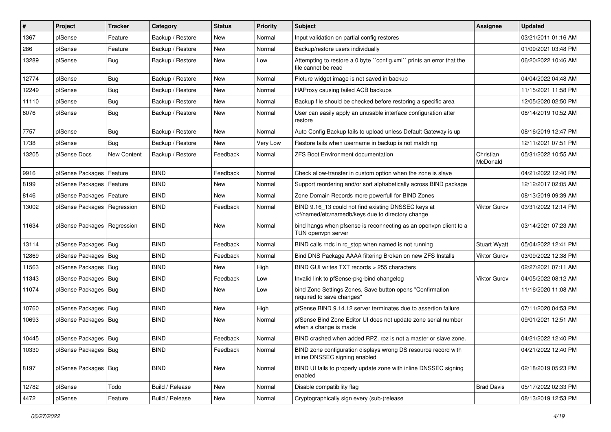| $\vert$ # | Project                       | Tracker     | Category         | <b>Status</b> | <b>Priority</b> | <b>Subject</b>                                                                                           | Assignee              | <b>Updated</b>      |
|-----------|-------------------------------|-------------|------------------|---------------|-----------------|----------------------------------------------------------------------------------------------------------|-----------------------|---------------------|
| 1367      | pfSense                       | Feature     | Backup / Restore | New           | Normal          | Input validation on partial config restores                                                              |                       | 03/21/2011 01:16 AM |
| 286       | pfSense                       | Feature     | Backup / Restore | <b>New</b>    | Normal          | Backup/restore users individually                                                                        |                       | 01/09/2021 03:48 PM |
| 13289     | pfSense                       | Bug         | Backup / Restore | New           | Low             | Attempting to restore a 0 byte "config.xml" prints an error that the<br>file cannot be read              |                       | 06/20/2022 10:46 AM |
| 12774     | pfSense                       | Bug         | Backup / Restore | <b>New</b>    | Normal          | Picture widget image is not saved in backup                                                              |                       | 04/04/2022 04:48 AM |
| 12249     | pfSense                       | Bug         | Backup / Restore | New           | Normal          | HAProxy causing failed ACB backups                                                                       |                       | 11/15/2021 11:58 PM |
| 11110     | pfSense                       | Bug         | Backup / Restore | New           | Normal          | Backup file should be checked before restoring a specific area                                           |                       | 12/05/2020 02:50 PM |
| 8076      | pfSense                       | Bug         | Backup / Restore | New           | Normal          | User can easily apply an unusable interface configuration after<br>restore                               |                       | 08/14/2019 10:52 AM |
| 7757      | pfSense                       | Bug         | Backup / Restore | <b>New</b>    | Normal          | Auto Config Backup fails to upload unless Default Gateway is up                                          |                       | 08/16/2019 12:47 PM |
| 1738      | pfSense                       | Bug         | Backup / Restore | New           | Very Low        | Restore fails when username in backup is not matching                                                    |                       | 12/11/2021 07:51 PM |
| 13205     | pfSense Docs                  | New Content | Backup / Restore | Feedback      | Normal          | <b>ZFS Boot Environment documentation</b>                                                                | Christian<br>McDonald | 05/31/2022 10:55 AM |
| 9916      | pfSense Packages              | Feature     | <b>BIND</b>      | Feedback      | Normal          | Check allow-transfer in custom option when the zone is slave                                             |                       | 04/21/2022 12:40 PM |
| 8199      | pfSense Packages   Feature    |             | <b>BIND</b>      | New           | Normal          | Support reordering and/or sort alphabetically across BIND package                                        |                       | 12/12/2017 02:05 AM |
| 8146      | pfSense Packages              | Feature     | <b>BIND</b>      | New           | Normal          | Zone Domain Records more powerfull for BIND Zones                                                        |                       | 08/13/2019 09:39 AM |
| 13002     | pfSense Packages   Regression |             | <b>BIND</b>      | Feedback      | Normal          | BIND 9.16_13 could not find existing DNSSEC keys at<br>/cf/named/etc/namedb/keys due to directory change | Viktor Gurov          | 03/31/2022 12:14 PM |
| 11634     | pfSense Packages   Regression |             | <b>BIND</b>      | New           | Normal          | bind hangs when pfsense is reconnecting as an openypn client to a<br>TUN openvpn server                  |                       | 03/14/2021 07:23 AM |
| 13114     | pfSense Packages   Bug        |             | <b>BIND</b>      | Feedback      | Normal          | BIND calls rndc in rc stop when named is not running                                                     | <b>Stuart Wyatt</b>   | 05/04/2022 12:41 PM |
| 12869     | pfSense Packages   Bug        |             | <b>BIND</b>      | Feedback      | Normal          | Bind DNS Package AAAA filtering Broken on new ZFS Installs                                               | <b>Viktor Gurov</b>   | 03/09/2022 12:38 PM |
| 11563     | pfSense Packages   Bug        |             | <b>BIND</b>      | New           | High            | BIND GUI writes TXT records > 255 characters                                                             |                       | 02/27/2021 07:11 AM |
| 11343     | pfSense Packages   Bug        |             | <b>BIND</b>      | Feedback      | Low             | Invalid link to pfSense-pkg-bind changelog                                                               | Viktor Gurov          | 04/05/2022 08:12 AM |
| 11074     | pfSense Packages   Bug        |             | <b>BIND</b>      | New           | Low             | bind Zone Settings Zones, Save button opens "Confirmation<br>required to save changes"                   |                       | 11/16/2020 11:08 AM |
| 10760     | pfSense Packages   Bug        |             | <b>BIND</b>      | New           | High            | pfSense BIND 9.14.12 server terminates due to assertion failure                                          |                       | 07/11/2020 04:53 PM |
| 10693     | pfSense Packages   Bug        |             | <b>BIND</b>      | New           | Normal          | pfSense Bind Zone Editor UI does not update zone serial number<br>when a change is made                  |                       | 09/01/2021 12:51 AM |
| 10445     | pfSense Packages   Bug        |             | <b>BIND</b>      | Feedback      | Normal          | BIND crashed when added RPZ. rpz is not a master or slave zone.                                          |                       | 04/21/2022 12:40 PM |
| 10330     | pfSense Packages   Bug        |             | <b>BIND</b>      | Feedback      | Normal          | BIND zone configuration displays wrong DS resource record with<br>inline DNSSEC signing enabled          |                       | 04/21/2022 12:40 PM |
| 8197      | pfSense Packages   Bug        |             | <b>BIND</b>      | New           | Normal          | BIND UI fails to properly update zone with inline DNSSEC signing<br>enabled                              |                       | 02/18/2019 05:23 PM |
| 12782     | pfSense                       | Todo        | Build / Release  | New           | Normal          | Disable compatibility flag                                                                               | <b>Brad Davis</b>     | 05/17/2022 02:33 PM |
| 4472      | pfSense                       | Feature     | Build / Release  | New           | Normal          | Cryptographically sign every (sub-)release                                                               |                       | 08/13/2019 12:53 PM |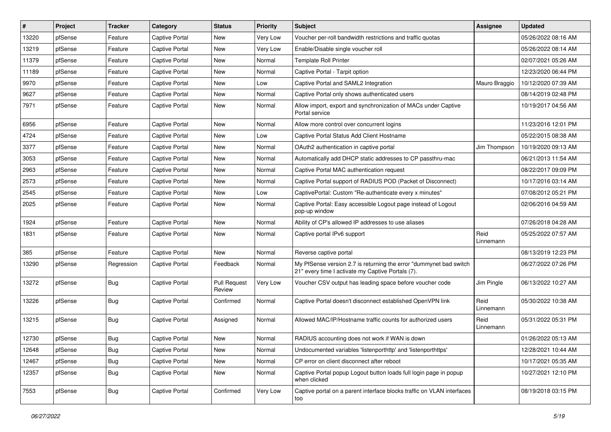| #     | Project | <b>Tracker</b> | Category              | <b>Status</b>                 | <b>Priority</b> | Subject                                                                                                                 | Assignee          | <b>Updated</b>      |
|-------|---------|----------------|-----------------------|-------------------------------|-----------------|-------------------------------------------------------------------------------------------------------------------------|-------------------|---------------------|
| 13220 | pfSense | Feature        | Captive Portal        | New                           | Very Low        | Voucher per-roll bandwidth restrictions and traffic quotas                                                              |                   | 05/26/2022 08:16 AM |
| 13219 | pfSense | Feature        | <b>Captive Portal</b> | New                           | Very Low        | Enable/Disable single voucher roll                                                                                      |                   | 05/26/2022 08:14 AM |
| 11379 | pfSense | Feature        | Captive Portal        | New                           | Normal          | <b>Template Roll Printer</b>                                                                                            |                   | 02/07/2021 05:26 AM |
| 11189 | pfSense | Feature        | <b>Captive Portal</b> | New                           | Normal          | Captive Portal - Tarpit option                                                                                          |                   | 12/23/2020 06:44 PM |
| 9970  | pfSense | Feature        | <b>Captive Portal</b> | New                           | Low             | Captive Portal and SAML2 Integration                                                                                    | Mauro Braggio     | 10/12/2020 07:39 AM |
| 9627  | pfSense | Feature        | Captive Portal        | New                           | Normal          | Captive Portal only shows authenticated users                                                                           |                   | 08/14/2019 02:48 PM |
| 7971  | pfSense | Feature        | Captive Portal        | New                           | Normal          | Allow import, export and synchronization of MACs under Captive<br>Portal service                                        |                   | 10/19/2017 04:56 AM |
| 6956  | pfSense | Feature        | <b>Captive Portal</b> | <b>New</b>                    | Normal          | Allow more control over concurrent logins                                                                               |                   | 11/23/2016 12:01 PM |
| 4724  | pfSense | Feature        | <b>Captive Portal</b> | New                           | Low             | Captive Portal Status Add Client Hostname                                                                               |                   | 05/22/2015 08:38 AM |
| 3377  | pfSense | Feature        | Captive Portal        | New                           | Normal          | OAuth2 authentication in captive portal                                                                                 | Jim Thompson      | 10/19/2020 09:13 AM |
| 3053  | pfSense | Feature        | Captive Portal        | New                           | Normal          | Automatically add DHCP static addresses to CP passthru-mac                                                              |                   | 06/21/2013 11:54 AM |
| 2963  | pfSense | Feature        | <b>Captive Portal</b> | <b>New</b>                    | Normal          | Captive Portal MAC authentication request                                                                               |                   | 08/22/2017 09:09 PM |
| 2573  | pfSense | Feature        | Captive Portal        | New                           | Normal          | Captive Portal support of RADIUS POD (Packet of Disconnect)                                                             |                   | 10/17/2016 03:14 AM |
| 2545  | pfSense | Feature        | <b>Captive Portal</b> | New                           | Low             | CaptivePortal: Custom "Re-authenticate every x minutes"                                                                 |                   | 07/08/2012 05:21 PM |
| 2025  | pfSense | Feature        | Captive Portal        | New                           | Normal          | Captive Portal: Easy accessible Logout page instead of Logout<br>pop-up window                                          |                   | 02/06/2016 04:59 AM |
| 1924  | pfSense | Feature        | Captive Portal        | <b>New</b>                    | Normal          | Ability of CP's allowed IP addresses to use aliases                                                                     |                   | 07/26/2018 04:28 AM |
| 1831  | pfSense | Feature        | Captive Portal        | New                           | Normal          | Captive portal IPv6 support                                                                                             | Reid<br>Linnemann | 05/25/2022 07:57 AM |
| 385   | pfSense | Feature        | <b>Captive Portal</b> | <b>New</b>                    | Normal          | Reverse captive portal                                                                                                  |                   | 08/13/2019 12:23 PM |
| 13290 | pfSense | Regression     | Captive Portal        | Feedback                      | Normal          | My PfSense version 2.7 is returning the error "dummynet bad switch<br>21" every time I activate my Captive Portals (7). |                   | 06/27/2022 07:26 PM |
| 13272 | pfSense | Bug            | <b>Captive Portal</b> | <b>Pull Request</b><br>Review | Very Low        | Voucher CSV output has leading space before voucher code                                                                | Jim Pingle        | 06/13/2022 10:27 AM |
| 13226 | pfSense | Bug            | <b>Captive Portal</b> | Confirmed                     | Normal          | Captive Portal doesn't disconnect established OpenVPN link                                                              | Reid<br>Linnemann | 05/30/2022 10:38 AM |
| 13215 | pfSense | Bug            | Captive Portal        | Assigned                      | Normal          | Allowed MAC/IP/Hostname traffic counts for authorized users                                                             | Reid<br>Linnemann | 05/31/2022 05:31 PM |
| 12730 | pfSense | Bug            | <b>Captive Portal</b> | New                           | Normal          | RADIUS accounting does not work if WAN is down                                                                          |                   | 01/26/2022 05:13 AM |
| 12648 | pfSense | <b>Bug</b>     | Captive Portal        | New                           | Normal          | Undocumented variables 'listenporthttp' and 'listenporthttps'                                                           |                   | 12/28/2021 10:44 AM |
| 12467 | pfSense | Bug            | Captive Portal        | New                           | Normal          | CP error on client disconnect after reboot                                                                              |                   | 10/17/2021 05:35 AM |
| 12357 | pfSense | <b>Bug</b>     | Captive Portal        | New                           | Normal          | Captive Portal popup Logout button loads full login page in popup<br>when clicked                                       |                   | 10/27/2021 12:10 PM |
| 7553  | pfSense | <b>Bug</b>     | Captive Portal        | Confirmed                     | Very Low        | Captive portal on a parent interface blocks traffic on VLAN interfaces<br>too                                           |                   | 08/19/2018 03:15 PM |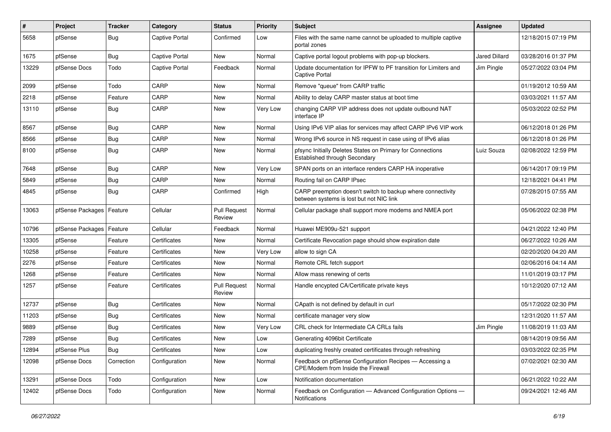| ∦     | Project                    | Tracker    | Category              | <b>Status</b>                 | <b>Priority</b> | Subject                                                                                                 | Assignee             | <b>Updated</b>      |
|-------|----------------------------|------------|-----------------------|-------------------------------|-----------------|---------------------------------------------------------------------------------------------------------|----------------------|---------------------|
| 5658  | pfSense                    | <b>Bug</b> | Captive Portal        | Confirmed                     | Low             | Files with the same name cannot be uploaded to multiple captive<br>portal zones                         |                      | 12/18/2015 07:19 PM |
| 1675  | pfSense                    | Bug        | <b>Captive Portal</b> | <b>New</b>                    | Normal          | Captive portal logout problems with pop-up blockers.                                                    | <b>Jared Dillard</b> | 03/28/2016 01:37 PM |
| 13229 | pfSense Docs               | Todo       | Captive Portal        | Feedback                      | Normal          | Update documentation for IPFW to PF transition for Limiters and<br>Captive Portal                       | Jim Pingle           | 05/27/2022 03:04 PM |
| 2099  | pfSense                    | Todo       | CARP                  | New                           | Normal          | Remove "queue" from CARP traffic                                                                        |                      | 01/19/2012 10:59 AM |
| 2218  | pfSense                    | Feature    | CARP                  | New                           | Normal          | Ability to delay CARP master status at boot time                                                        |                      | 03/03/2021 11:57 AM |
| 13110 | pfSense                    | Bug        | CARP                  | New                           | <b>Very Low</b> | changing CARP VIP address does not update outbound NAT<br>interface IP                                  |                      | 05/03/2022 02:52 PM |
| 8567  | pfSense                    | <b>Bug</b> | CARP                  | <b>New</b>                    | Normal          | Using IPv6 VIP alias for services may affect CARP IPv6 VIP work                                         |                      | 06/12/2018 01:26 PM |
| 8566  | pfSense                    | <b>Bug</b> | CARP                  | New                           | Normal          | Wrong IPv6 source in NS request in case using of IPv6 alias                                             |                      | 06/12/2018 01:26 PM |
| 8100  | pfSense                    | Bug        | CARP                  | New                           | Normal          | pfsync Initially Deletes States on Primary for Connections<br>Established through Secondary             | Luiz Souza           | 02/08/2022 12:59 PM |
| 7648  | pfSense                    | <b>Bug</b> | CARP                  | New                           | <b>Very Low</b> | SPAN ports on an interface renders CARP HA inoperative                                                  |                      | 06/14/2017 09:19 PM |
| 5849  | pfSense                    | <b>Bug</b> | CARP                  | New                           | Normal          | Routing fail on CARP IPsec                                                                              |                      | 12/18/2021 04:41 PM |
| 4845  | pfSense                    | <b>Bug</b> | CARP                  | Confirmed                     | High            | CARP preemption doesn't switch to backup where connectivity<br>between systems is lost but not NIC link |                      | 07/28/2015 07:55 AM |
| 13063 | pfSense Packages   Feature |            | Cellular              | <b>Pull Request</b><br>Review | Normal          | Cellular package shall support more modems and NMEA port                                                |                      | 05/06/2022 02:38 PM |
| 10796 | pfSense Packages   Feature |            | Cellular              | Feedback                      | Normal          | Huawei ME909u-521 support                                                                               |                      | 04/21/2022 12:40 PM |
| 13305 | pfSense                    | Feature    | Certificates          | New                           | Normal          | Certificate Revocation page should show expiration date                                                 |                      | 06/27/2022 10:26 AM |
| 10258 | pfSense                    | Feature    | Certificates          | New                           | <b>Very Low</b> | allow to sign CA                                                                                        |                      | 02/20/2020 04:20 AM |
| 2276  | pfSense                    | Feature    | Certificates          | New                           | Normal          | Remote CRL fetch support                                                                                |                      | 02/06/2016 04:14 AM |
| 1268  | pfSense                    | Feature    | Certificates          | New                           | Normal          | Allow mass renewing of certs                                                                            |                      | 11/01/2019 03:17 PM |
| 1257  | pfSense                    | Feature    | Certificates          | <b>Pull Request</b><br>Review | Normal          | Handle encypted CA/Certificate private keys                                                             |                      | 10/12/2020 07:12 AM |
| 12737 | pfSense                    | <b>Bug</b> | Certificates          | New                           | Normal          | CApath is not defined by default in curl                                                                |                      | 05/17/2022 02:30 PM |
| 11203 | pfSense                    | <b>Bug</b> | Certificates          | <b>New</b>                    | Normal          | certificate manager very slow                                                                           |                      | 12/31/2020 11:57 AM |
| 9889  | pfSense                    | <b>Bug</b> | Certificates          | New                           | Very Low        | CRL check for Intermediate CA CRLs fails                                                                | Jim Pingle           | 11/08/2019 11:03 AM |
| 7289  | pfSense                    | Bug        | Certificates          | New                           | Low             | Generating 4096bit Certificate                                                                          |                      | 08/14/2019 09:56 AM |
| 12894 | pfSense Plus               | Bug        | Certificates          | New                           | Low             | duplicating freshly created certificates through refreshing                                             |                      | 03/03/2022 02:35 PM |
| 12098 | pfSense Docs               | Correction | Configuration         | New                           | Normal          | Feedback on pfSense Configuration Recipes - Accessing a<br>CPE/Modem from Inside the Firewall           |                      | 07/02/2021 02:30 AM |
| 13291 | pfSense Docs               | Todo       | Configuration         | New                           | Low             | Notification documentation                                                                              |                      | 06/21/2022 10:22 AM |
| 12402 | pfSense Docs               | Todo       | Configuration         | New                           | Normal          | Feedback on Configuration - Advanced Configuration Options -<br>Notifications                           |                      | 09/24/2021 12:46 AM |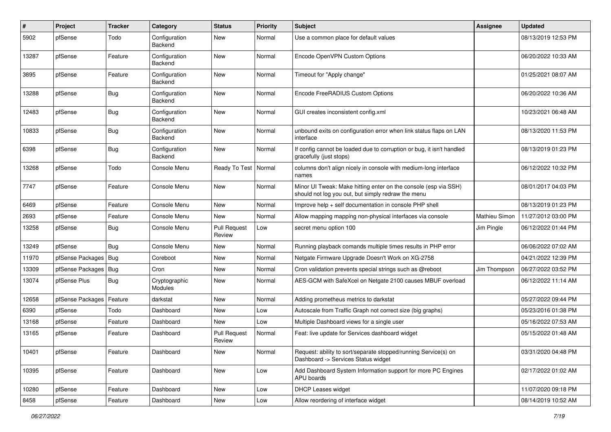| #     | Project                | <b>Tracker</b> | Category                        | <b>Status</b>                 | <b>Priority</b> | <b>Subject</b>                                                                                                        | Assignee      | <b>Updated</b>      |
|-------|------------------------|----------------|---------------------------------|-------------------------------|-----------------|-----------------------------------------------------------------------------------------------------------------------|---------------|---------------------|
| 5902  | pfSense                | Todo           | Configuration<br>Backend        | New                           | Normal          | Use a common place for default values                                                                                 |               | 08/13/2019 12:53 PM |
| 13287 | pfSense                | Feature        | Configuration<br>Backend        | <b>New</b>                    | Normal          | Encode OpenVPN Custom Options                                                                                         |               | 06/20/2022 10:33 AM |
| 3895  | pfSense                | Feature        | Configuration<br>Backend        | <b>New</b>                    | Normal          | Timeout for "Apply change"                                                                                            |               | 01/25/2021 08:07 AM |
| 13288 | pfSense                | Bug            | Configuration<br>Backend        | <b>New</b>                    | Normal          | Encode FreeRADIUS Custom Options                                                                                      |               | 06/20/2022 10:36 AM |
| 12483 | pfSense                | Bug            | Configuration<br>Backend        | <b>New</b>                    | Normal          | GUI creates inconsistent config.xml                                                                                   |               | 10/23/2021 06:48 AM |
| 10833 | pfSense                | Bug            | Configuration<br>Backend        | <b>New</b>                    | Normal          | unbound exits on configuration error when link status flaps on LAN<br>interface                                       |               | 08/13/2020 11:53 PM |
| 6398  | pfSense                | Bug            | Configuration<br>Backend        | <b>New</b>                    | Normal          | If config cannot be loaded due to corruption or bug, it isn't handled<br>gracefully (just stops)                      |               | 08/13/2019 01:23 PM |
| 13268 | pfSense                | Todo           | Console Menu                    | Ready To Test                 | Normal          | columns don't align nicely in console with medium-long interface<br>names                                             |               | 06/12/2022 10:32 PM |
| 7747  | pfSense                | Feature        | Console Menu                    | <b>New</b>                    | Normal          | Minor UI Tweak: Make hitting enter on the console (esp via SSH)<br>should not log you out, but simply redraw the menu |               | 08/01/2017 04:03 PM |
| 6469  | pfSense                | Feature        | Console Menu                    | <b>New</b>                    | Normal          | Improve help + self documentation in console PHP shell                                                                |               | 08/13/2019 01:23 PM |
| 2693  | pfSense                | Feature        | Console Menu                    | New                           | Normal          | Allow mapping mapping non-physical interfaces via console                                                             | Mathieu Simon | 11/27/2012 03:00 PM |
| 13258 | pfSense                | Bug            | Console Menu                    | <b>Pull Request</b><br>Review | Low             | secret menu option 100                                                                                                | Jim Pingle    | 06/12/2022 01:44 PM |
| 13249 | pfSense                | Bug            | Console Menu                    | <b>New</b>                    | Normal          | Running playback comands multiple times results in PHP error                                                          |               | 06/06/2022 07:02 AM |
| 11970 | pfSense Packages   Bug |                | Coreboot                        | New                           | Normal          | Netgate Firmware Upgrade Doesn't Work on XG-2758                                                                      |               | 04/21/2022 12:39 PM |
| 13309 | pfSense Packages   Bug |                | Cron                            | New                           | Normal          | Cron validation prevents special strings such as @reboot                                                              | Jim Thompson  | 06/27/2022 03:52 PM |
| 13074 | pfSense Plus           | <b>Bug</b>     | Cryptographic<br><b>Modules</b> | New                           | Normal          | AES-GCM with SafeXcel on Netgate 2100 causes MBUF overload                                                            |               | 06/12/2022 11:14 AM |
| 12658 | pfSense Packages       | Feature        | darkstat                        | <b>New</b>                    | Normal          | Adding prometheus metrics to darkstat                                                                                 |               | 05/27/2022 09:44 PM |
| 6390  | pfSense                | Todo           | Dashboard                       | New                           | Low             | Autoscale from Traffic Graph not correct size (big graphs)                                                            |               | 05/23/2016 01:38 PM |
| 13168 | pfSense                | Feature        | Dashboard                       | New                           | Low             | Multiple Dashboard views for a single user                                                                            |               | 05/16/2022 07:53 AM |
| 13165 | pfSense                | Feature        | Dashboard                       | <b>Pull Request</b><br>Review | Normal          | Feat: live update for Services dashboard widget                                                                       |               | 05/15/2022 01:48 AM |
| 10401 | pfSense                | Feature        | Dashboard                       | New                           | Normal          | Request: ability to sort/separate stopped/running Service(s) on<br>Dashboard -> Services Status widget                |               | 03/31/2020 04:48 PM |
| 10395 | pfSense                | Feature        | Dashboard                       | New                           | Low             | Add Dashboard System Information support for more PC Engines<br>APU boards                                            |               | 02/17/2022 01:02 AM |
| 10280 | pfSense                | Feature        | Dashboard                       | New                           | Low             | <b>DHCP Leases widget</b>                                                                                             |               | 11/07/2020 09:18 PM |
| 8458  | pfSense                | Feature        | Dashboard                       | New                           | Low             | Allow reordering of interface widget                                                                                  |               | 08/14/2019 10:52 AM |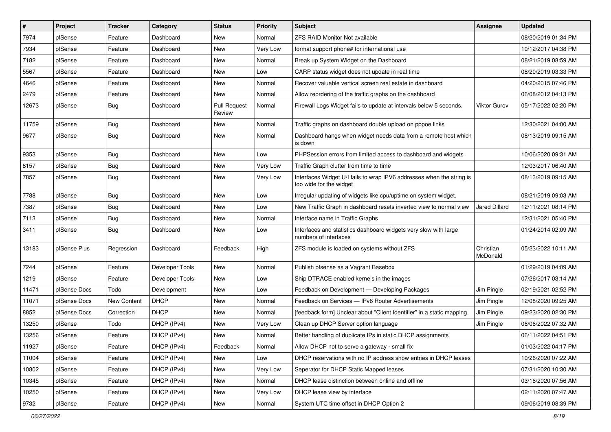| $\vert$ # | Project      | <b>Tracker</b>     | Category        | <b>Status</b>                 | <b>Priority</b> | Subject                                                                                          | <b>Assignee</b>       | <b>Updated</b>      |
|-----------|--------------|--------------------|-----------------|-------------------------------|-----------------|--------------------------------------------------------------------------------------------------|-----------------------|---------------------|
| 7974      | pfSense      | Feature            | Dashboard       | New                           | Normal          | <b>ZFS RAID Monitor Not available</b>                                                            |                       | 08/20/2019 01:34 PM |
| 7934      | pfSense      | Feature            | Dashboard       | New                           | Very Low        | format support phone# for international use                                                      |                       | 10/12/2017 04:38 PM |
| 7182      | pfSense      | Feature            | Dashboard       | New                           | Normal          | Break up System Widget on the Dashboard                                                          |                       | 08/21/2019 08:59 AM |
| 5567      | pfSense      | Feature            | Dashboard       | New                           | Low             | CARP status widget does not update in real time                                                  |                       | 08/20/2019 03:33 PM |
| 4646      | pfSense      | Feature            | Dashboard       | <b>New</b>                    | Normal          | Recover valuable vertical screen real estate in dashboard                                        |                       | 04/20/2015 07:46 PM |
| 2479      | pfSense      | Feature            | Dashboard       | New                           | Normal          | Allow reordering of the traffic graphs on the dashboard                                          |                       | 06/08/2012 04:13 PM |
| 12673     | pfSense      | Bug                | Dashboard       | <b>Pull Request</b><br>Review | Normal          | Firewall Logs Widget fails to update at intervals below 5 seconds.                               | Viktor Gurov          | 05/17/2022 02:20 PM |
| 11759     | pfSense      | Bug                | Dashboard       | New                           | Normal          | Traffic graphs on dashboard double upload on pppoe links                                         |                       | 12/30/2021 04:00 AM |
| 9677      | pfSense      | Bug                | Dashboard       | New                           | Normal          | Dashboard hangs when widget needs data from a remote host which<br>is down                       |                       | 08/13/2019 09:15 AM |
| 9353      | pfSense      | <b>Bug</b>         | Dashboard       | New                           | Low             | PHPSession errors from limited access to dashboard and widgets                                   |                       | 10/06/2020 09:31 AM |
| 8157      | pfSense      | Bug                | Dashboard       | <b>New</b>                    | Very Low        | Traffic Graph clutter from time to time                                                          |                       | 12/03/2017 06:40 AM |
| 7857      | pfSense      | <b>Bug</b>         | Dashboard       | New                           | Very Low        | Interfaces Widget U/I fails to wrap IPV6 addresses when the string is<br>too wide for the widget |                       | 08/13/2019 09:15 AM |
| 7788      | pfSense      | Bug                | Dashboard       | <b>New</b>                    | Low             | Irregular updating of widgets like cpu/uptime on system widget.                                  |                       | 08/21/2019 09:03 AM |
| 7387      | pfSense      | Bug                | Dashboard       | New                           | Low             | New Traffic Graph in dashboard resets inverted view to normal view                               | Jared Dillard         | 12/11/2021 08:14 PM |
| 7113      | pfSense      | <b>Bug</b>         | Dashboard       | New                           | Normal          | Interface name in Traffic Graphs                                                                 |                       | 12/31/2021 05:40 PM |
| 3411      | pfSense      | Bug                | Dashboard       | New                           | Low             | Interfaces and statistics dashboard widgets very slow with large<br>numbers of interfaces        |                       | 01/24/2014 02:09 AM |
| 13183     | pfSense Plus | Regression         | Dashboard       | Feedback                      | High            | ZFS module is loaded on systems without ZFS                                                      | Christian<br>McDonald | 05/23/2022 10:11 AM |
| 7244      | pfSense      | Feature            | Developer Tools | New                           | Normal          | Publish pfsense as a Vagrant Basebox                                                             |                       | 01/29/2019 04:09 AM |
| 1219      | pfSense      | Feature            | Developer Tools | New                           | Low             | Ship DTRACE enabled kernels in the images                                                        |                       | 07/26/2017 03:14 AM |
| 11471     | pfSense Docs | Todo               | Development     | New                           | Low             | Feedback on Development - Developing Packages                                                    | Jim Pingle            | 02/19/2021 02:52 PM |
| 11071     | pfSense Docs | <b>New Content</b> | <b>DHCP</b>     | New                           | Normal          | Feedback on Services - IPv6 Router Advertisements                                                | Jim Pingle            | 12/08/2020 09:25 AM |
| 8852      | pfSense Docs | Correction         | <b>DHCP</b>     | New                           | Normal          | [feedback form] Unclear about "Client Identifier" in a static mapping                            | Jim Pingle            | 09/23/2020 02:30 PM |
| 13250     | pfSense      | Todo               | DHCP (IPv4)     | New                           | Very Low        | Clean up DHCP Server option language                                                             | Jim Pingle            | 06/06/2022 07:32 AM |
| 13256     | pfSense      | Feature            | DHCP (IPv4)     | <b>New</b>                    | Normal          | Better handling of duplicate IPs in static DHCP assignments                                      |                       | 06/11/2022 04:51 PM |
| 11927     | pfSense      | Feature            | DHCP (IPv4)     | Feedback                      | Normal          | Allow DHCP not to serve a gateway - small fix                                                    |                       | 01/03/2022 04:17 PM |
| 11004     | pfSense      | Feature            | DHCP (IPv4)     | New                           | Low             | DHCP reservations with no IP address show entries in DHCP leases                                 |                       | 10/26/2020 07:22 AM |
| 10802     | pfSense      | Feature            | DHCP (IPv4)     | New                           | Very Low        | Seperator for DHCP Static Mapped leases                                                          |                       | 07/31/2020 10:30 AM |
| 10345     | pfSense      | Feature            | DHCP (IPv4)     | New                           | Normal          | DHCP lease distinction between online and offline                                                |                       | 03/16/2020 07:56 AM |
| 10250     | pfSense      | Feature            | DHCP (IPv4)     | New                           | Very Low        | DHCP lease view by interface                                                                     |                       | 02/11/2020 07:47 AM |
| 9732      | pfSense      | Feature            | DHCP (IPv4)     | New                           | Normal          | System UTC time offset in DHCP Option 2                                                          |                       | 09/06/2019 08:39 PM |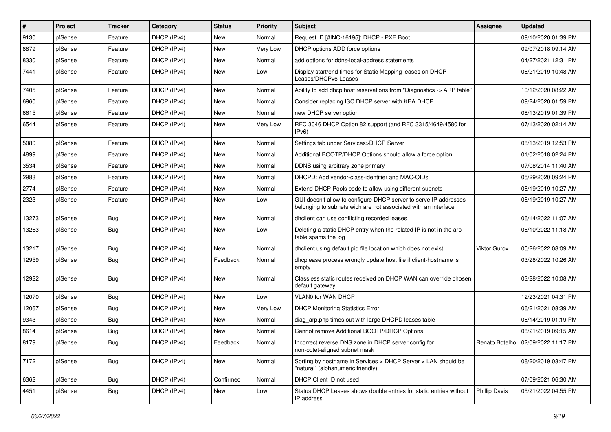| $\vert$ # | Project | Tracker    | Category    | <b>Status</b> | <b>Priority</b> | Subject                                                                                                                            | <b>Assignee</b>      | <b>Updated</b>                       |
|-----------|---------|------------|-------------|---------------|-----------------|------------------------------------------------------------------------------------------------------------------------------------|----------------------|--------------------------------------|
| 9130      | pfSense | Feature    | DHCP (IPv4) | New           | Normal          | Request ID [#INC-16195]: DHCP - PXE Boot                                                                                           |                      | 09/10/2020 01:39 PM                  |
| 8879      | pfSense | Feature    | DHCP (IPv4) | New           | Very Low        | DHCP options ADD force options                                                                                                     |                      | 09/07/2018 09:14 AM                  |
| 8330      | pfSense | Feature    | DHCP (IPv4) | New           | Normal          | add options for ddns-local-address statements                                                                                      |                      | 04/27/2021 12:31 PM                  |
| 7441      | pfSense | Feature    | DHCP (IPv4) | New           | Low             | Display start/end times for Static Mapping leases on DHCP<br>Leases/DHCPv6 Leases                                                  |                      | 08/21/2019 10:48 AM                  |
| 7405      | pfSense | Feature    | DHCP (IPv4) | New           | Normal          | Ability to add dhcp host reservations from "Diagnostics -> ARP table"                                                              |                      | 10/12/2020 08:22 AM                  |
| 6960      | pfSense | Feature    | DHCP (IPv4) | New           | Normal          | Consider replacing ISC DHCP server with KEA DHCP                                                                                   |                      | 09/24/2020 01:59 PM                  |
| 6615      | pfSense | Feature    | DHCP (IPv4) | New           | Normal          | new DHCP server option                                                                                                             |                      | 08/13/2019 01:39 PM                  |
| 6544      | pfSense | Feature    | DHCP (IPv4) | New           | Very Low        | RFC 3046 DHCP Option 82 support (and RFC 3315/4649/4580 for<br>IPv6                                                                |                      | 07/13/2020 02:14 AM                  |
| 5080      | pfSense | Feature    | DHCP (IPv4) | New           | Normal          | Settings tab under Services>DHCP Server                                                                                            |                      | 08/13/2019 12:53 PM                  |
| 4899      | pfSense | Feature    | DHCP (IPv4) | New           | Normal          | Additional BOOTP/DHCP Options should allow a force option                                                                          |                      | 01/02/2018 02:24 PM                  |
| 3534      | pfSense | Feature    | DHCP (IPv4) | New           | Normal          | DDNS using arbitrary zone primary                                                                                                  |                      | 07/08/2014 11:40 AM                  |
| 2983      | pfSense | Feature    | DHCP (IPv4) | New           | Normal          | DHCPD: Add vendor-class-identifier and MAC-OIDs                                                                                    |                      | 05/29/2020 09:24 PM                  |
| 2774      | pfSense | Feature    | DHCP (IPv4) | New           | Normal          | Extend DHCP Pools code to allow using different subnets                                                                            |                      | 08/19/2019 10:27 AM                  |
| 2323      | pfSense | Feature    | DHCP (IPv4) | New           | Low             | GUI doesn't allow to configure DHCP server to serve IP addresses<br>belonging to subnets wich are not associated with an interface |                      | 08/19/2019 10:27 AM                  |
| 13273     | pfSense | <b>Bug</b> | DHCP (IPv4) | <b>New</b>    | Normal          | dhclient can use conflicting recorded leases                                                                                       |                      | 06/14/2022 11:07 AM                  |
| 13263     | pfSense | <b>Bug</b> | DHCP (IPv4) | New           | Low             | Deleting a static DHCP entry when the related IP is not in the arp<br>table spams the log                                          |                      | 06/10/2022 11:18 AM                  |
| 13217     | pfSense | Bug        | DHCP (IPv4) | New           | Normal          | dhclient using default pid file location which does not exist                                                                      | Viktor Gurov         | 05/26/2022 08:09 AM                  |
| 12959     | pfSense | <b>Bug</b> | DHCP (IPv4) | Feedback      | Normal          | dhcplease process wrongly update host file if client-hostname is<br>empty                                                          |                      | 03/28/2022 10:26 AM                  |
| 12922     | pfSense | Bug        | DHCP (IPv4) | New           | Normal          | Classless static routes received on DHCP WAN can override chosen<br>default gateway                                                |                      | 03/28/2022 10:08 AM                  |
| 12070     | pfSense | Bug        | DHCP (IPv4) | New           | Low             | VLAN0 for WAN DHCP                                                                                                                 |                      | 12/23/2021 04:31 PM                  |
| 12067     | pfSense | <b>Bug</b> | DHCP (IPv4) | New           | Very Low        | <b>DHCP Monitoring Statistics Error</b>                                                                                            |                      | 06/21/2021 08:39 AM                  |
| 9343      | pfSense | <b>Bug</b> | DHCP (IPv4) | New           | Normal          | diag_arp.php times out with large DHCPD leases table                                                                               |                      | 08/14/2019 01:19 PM                  |
| 8614      | pfSense | <b>Bug</b> | DHCP (IPv4) | New           | Normal          | Cannot remove Additional BOOTP/DHCP Options                                                                                        |                      | 08/21/2019 09:15 AM                  |
| 8179      | pfSense | Bug        | DHCP (IPv4) | Feedback      | Normal          | Incorrect reverse DNS zone in DHCP server config for<br>non-octet-aligned subnet mask                                              |                      | Renato Botelho   02/09/2022 11:17 PM |
| 7172      | pfSense | Bug        | DHCP (IPv4) | New           | Normal          | Sorting by hostname in Services > DHCP Server > LAN should be<br>"natural" (alphanumeric friendly)                                 |                      | 08/20/2019 03:47 PM                  |
| 6362      | pfSense | Bug        | DHCP (IPv4) | Confirmed     | Normal          | DHCP Client ID not used                                                                                                            |                      | 07/09/2021 06:30 AM                  |
| 4451      | pfSense | <b>Bug</b> | DHCP (IPv4) | New           | Low             | Status DHCP Leases shows double entries for static entries without<br>IP address                                                   | <b>Phillip Davis</b> | 05/21/2022 04:55 PM                  |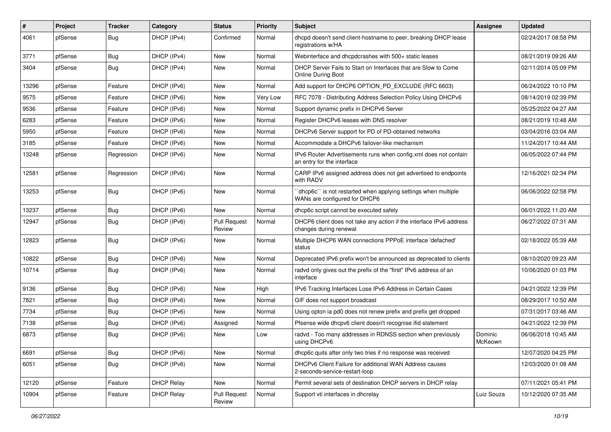| #     | Project | <b>Tracker</b> | Category          | <b>Status</b>                 | <b>Priority</b> | Subject                                                                                          | Assignee           | <b>Updated</b>      |
|-------|---------|----------------|-------------------|-------------------------------|-----------------|--------------------------------------------------------------------------------------------------|--------------------|---------------------|
| 4061  | pfSense | <b>Bug</b>     | DHCP (IPv4)       | Confirmed                     | Normal          | dhcpd doesn't send client-hostname to peer, breaking DHCP lease<br>registrations w/HA            |                    | 02/24/2017 08:58 PM |
| 3771  | pfSense | Bug            | DHCP (IPv4)       | New                           | Normal          | Webinterface and dhcpdcrashes with 500+ static leases                                            |                    | 08/21/2019 09:26 AM |
| 3404  | pfSense | Bug            | DHCP (IPv4)       | New                           | Normal          | DHCP Server Fails to Start on Interfaces that are Slow to Come<br><b>Online During Boot</b>      |                    | 02/11/2014 05:09 PM |
| 13296 | pfSense | Feature        | DHCP (IPv6)       | New                           | Normal          | Add support for DHCP6 OPTION_PD_EXCLUDE (RFC 6603)                                               |                    | 06/24/2022 10:10 PM |
| 9575  | pfSense | Feature        | DHCP (IPv6)       | New                           | Very Low        | RFC 7078 - Distributing Address Selection Policy Using DHCPv6                                    |                    | 08/14/2019 02:39 PM |
| 9536  | pfSense | Feature        | DHCP (IPv6)       | <b>New</b>                    | Normal          | Support dynamic prefix in DHCPv6 Server                                                          |                    | 05/25/2022 04:27 AM |
| 6283  | pfSense | Feature        | DHCP (IPv6)       | New                           | Normal          | Register DHCPv6 leases with DNS resolver                                                         |                    | 08/21/2019 10:48 AM |
| 5950  | pfSense | Feature        | DHCP (IPv6)       | New                           | Normal          | DHCPv6 Server support for PD of PD-obtained networks                                             |                    | 03/04/2016 03:04 AM |
| 3185  | pfSense | Feature        | DHCP (IPv6)       | New                           | Normal          | Accommodate a DHCPv6 failover-like mechanism                                                     |                    | 11/24/2017 10:44 AM |
| 13248 | pfSense | Regression     | DHCP (IPv6)       | New                           | Normal          | IPv6 Router Advertisements runs when config.xml does not contain<br>an entry for the interface   |                    | 06/05/2022 07:44 PM |
| 12581 | pfSense | Regression     | DHCP (IPv6)       | <b>New</b>                    | Normal          | CARP IPv6 assigned address does not get advertised to endpoints<br>with RADV                     |                    | 12/16/2021 02:34 PM |
| 13253 | pfSense | Bug            | DHCP (IPv6)       | <b>New</b>                    | Normal          | 'dhcp6c'' is not restarted when applying settings when multiple<br>WANs are configured for DHCP6 |                    | 06/06/2022 02:58 PM |
| 13237 | pfSense | <b>Bug</b>     | DHCP (IPv6)       | New                           | Normal          | dhcp6c script cannot be executed safely                                                          |                    | 06/01/2022 11:20 AM |
| 12947 | pfSense | Bug            | DHCP (IPv6)       | <b>Pull Request</b><br>Review | Normal          | DHCP6 client does not take any action if the interface IPv6 address<br>changes during renewal    |                    | 06/27/2022 07:31 AM |
| 12823 | pfSense | Bug            | DHCP (IPv6)       | New                           | Normal          | Multiple DHCP6 WAN connections PPPoE interface 'defached'<br>status                              |                    | 02/18/2022 05:39 AM |
| 10822 | pfSense | <b>Bug</b>     | DHCP (IPv6)       | <b>New</b>                    | Normal          | Deprecated IPv6 prefix won't be announced as deprecated to clients                               |                    | 08/10/2020 09:23 AM |
| 10714 | pfSense | Bug            | DHCP (IPv6)       | New                           | Normal          | radvd only gives out the prefix of the "first" IPv6 address of an<br>interface                   |                    | 10/06/2020 01:03 PM |
| 9136  | pfSense | Bug            | DHCP (IPv6)       | New                           | High            | IPv6 Tracking Interfaces Lose IPv6 Address in Certain Cases                                      |                    | 04/21/2022 12:39 PM |
| 7821  | pfSense | Bug            | DHCP (IPv6)       | <b>New</b>                    | Normal          | GIF does not support broadcast                                                                   |                    | 08/29/2017 10:50 AM |
| 7734  | pfSense | Bug            | DHCP (IPv6)       | New                           | Normal          | Using opton ia pd0 does not renew prefix and prefix get dropped                                  |                    | 07/31/2017 03:46 AM |
| 7138  | pfSense | Bug            | DHCP (IPv6)       | Assigned                      | Normal          | Pfsense wide dhcpv6 client doesn't recognise ifid statement                                      |                    | 04/21/2022 12:39 PM |
| 6873  | pfSense | Bug            | DHCP (IPv6)       | New                           | Low             | radvd - Too many addresses in RDNSS section when previously<br>using DHCPv6                      | Dominic<br>McKeown | 06/06/2018 10:45 AM |
| 6691  | pfSense | <b>Bug</b>     | DHCP (IPv6)       | New                           | Normal          | dhcp6c quits after only two tries if no response was received                                    |                    | 12/07/2020 04:25 PM |
| 6051  | pfSense | <b>Bug</b>     | DHCP (IPv6)       | New                           | Normal          | DHCPv6 Client Failure for additional WAN Address causes<br>2-seconds-service-restart-loop        |                    | 12/03/2020 01:08 AM |
| 12120 | pfSense | Feature        | <b>DHCP Relay</b> | New                           | Normal          | Permit several sets of destination DHCP servers in DHCP relay                                    |                    | 07/11/2021 05:41 PM |
| 10904 | pfSense | Feature        | <b>DHCP Relay</b> | <b>Pull Request</b><br>Review | Normal          | Support vti interfaces in dhcrelay                                                               | Luiz Souza         | 10/12/2020 07:35 AM |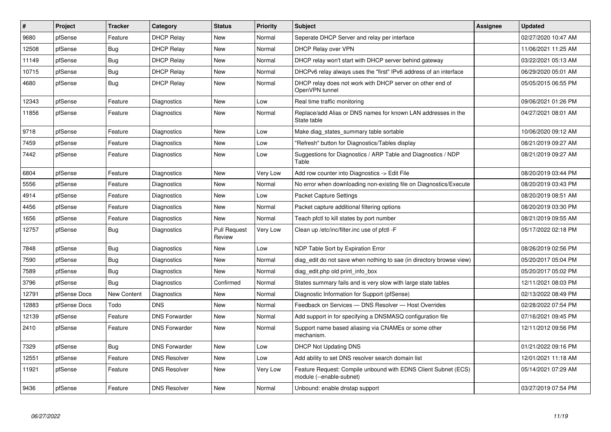| $\vert$ # | Project      | <b>Tracker</b> | Category             | <b>Status</b>                 | <b>Priority</b> | <b>Subject</b>                                                                             | Assignee | <b>Updated</b>      |
|-----------|--------------|----------------|----------------------|-------------------------------|-----------------|--------------------------------------------------------------------------------------------|----------|---------------------|
| 9680      | pfSense      | Feature        | <b>DHCP Relay</b>    | <b>New</b>                    | Normal          | Seperate DHCP Server and relay per interface                                               |          | 02/27/2020 10:47 AM |
| 12508     | pfSense      | Bug            | <b>DHCP Relay</b>    | New                           | Normal          | <b>DHCP Relay over VPN</b>                                                                 |          | 11/06/2021 11:25 AM |
| 11149     | pfSense      | Bug            | <b>DHCP Relay</b>    | <b>New</b>                    | Normal          | DHCP relay won't start with DHCP server behind gateway                                     |          | 03/22/2021 05:13 AM |
| 10715     | pfSense      | Bug            | <b>DHCP Relay</b>    | New                           | Normal          | DHCPv6 relay always uses the "first" IPv6 address of an interface                          |          | 06/29/2020 05:01 AM |
| 4680      | pfSense      | Bug            | <b>DHCP Relay</b>    | New                           | Normal          | DHCP relay does not work with DHCP server on other end of<br>OpenVPN tunnel                |          | 05/05/2015 06:55 PM |
| 12343     | pfSense      | Feature        | Diagnostics          | New                           | Low             | Real time traffic monitoring                                                               |          | 09/06/2021 01:26 PM |
| 11856     | pfSense      | Feature        | Diagnostics          | New                           | Normal          | Replace/add Alias or DNS names for known LAN addresses in the<br>State table               |          | 04/27/2021 08:01 AM |
| 9718      | pfSense      | Feature        | Diagnostics          | <b>New</b>                    | Low             | Make diag states summary table sortable                                                    |          | 10/06/2020 09:12 AM |
| 7459      | pfSense      | Feature        | Diagnostics          | <b>New</b>                    | Low             | 'Refresh" button for Diagnostics/Tables display                                            |          | 08/21/2019 09:27 AM |
| 7442      | pfSense      | Feature        | Diagnostics          | New                           | Low             | Suggestions for Diagnostics / ARP Table and Diagnostics / NDP<br>Table                     |          | 08/21/2019 09:27 AM |
| 6804      | pfSense      | Feature        | Diagnostics          | <b>New</b>                    | Very Low        | Add row counter into Diagnostics -> Edit File                                              |          | 08/20/2019 03:44 PM |
| 5556      | pfSense      | Feature        | Diagnostics          | New                           | Normal          | No error when downloading non-existing file on Diagnostics/Execute                         |          | 08/20/2019 03:43 PM |
| 4914      | pfSense      | Feature        | Diagnostics          | New                           | Low             | <b>Packet Capture Settings</b>                                                             |          | 08/20/2019 08:51 AM |
| 4456      | pfSense      | Feature        | Diagnostics          | New                           | Normal          | Packet capture additional filtering options                                                |          | 08/20/2019 03:30 PM |
| 1656      | pfSense      | Feature        | Diagnostics          | New                           | Normal          | Teach pfctl to kill states by port number                                                  |          | 08/21/2019 09:55 AM |
| 12757     | pfSense      | Bug            | Diagnostics          | <b>Pull Request</b><br>Review | Very Low        | Clean up /etc/inc/filter.inc use of pfctl -F                                               |          | 05/17/2022 02:18 PM |
| 7848      | pfSense      | <b>Bug</b>     | Diagnostics          | New                           | Low             | NDP Table Sort by Expiration Error                                                         |          | 08/26/2019 02:56 PM |
| 7590      | pfSense      | Bug            | Diagnostics          | New                           | Normal          | diag edit do not save when nothing to sae (in directory browse view)                       |          | 05/20/2017 05:04 PM |
| 7589      | pfSense      | <b>Bug</b>     | Diagnostics          | <b>New</b>                    | Normal          | diag_edit.php old print_info_box                                                           |          | 05/20/2017 05:02 PM |
| 3796      | pfSense      | <b>Bug</b>     | Diagnostics          | Confirmed                     | Normal          | States summary fails and is very slow with large state tables                              |          | 12/11/2021 08:03 PM |
| 12791     | pfSense Docs | New Content    | Diagnostics          | <b>New</b>                    | Normal          | Diagnostic Information for Support (pfSense)                                               |          | 02/13/2022 08:49 PM |
| 12883     | pfSense Docs | Todo           | <b>DNS</b>           | <b>New</b>                    | Normal          | Feedback on Services - DNS Resolver - Host Overrides                                       |          | 02/28/2022 07:54 PM |
| 12139     | pfSense      | Feature        | <b>DNS Forwarder</b> | <b>New</b>                    | Normal          | Add support in for specifying a DNSMASQ configuration file                                 |          | 07/16/2021 09:45 PM |
| 2410      | pfSense      | Feature        | <b>DNS Forwarder</b> | New                           | Normal          | Support name based aliasing via CNAMEs or some other<br>mechanism.                         |          | 12/11/2012 09:56 PM |
| 7329      | pfSense      | <b>Bug</b>     | <b>DNS Forwarder</b> | New                           | Low             | DHCP Not Updating DNS                                                                      |          | 01/21/2022 09:16 PM |
| 12551     | pfSense      | Feature        | <b>DNS Resolver</b>  | <b>New</b>                    | Low             | Add ability to set DNS resolver search domain list                                         |          | 12/01/2021 11:18 AM |
| 11921     | pfSense      | Feature        | <b>DNS Resolver</b>  | <b>New</b>                    | Very Low        | Feature Request: Compile unbound with EDNS Client Subnet (ECS)<br>module (--enable-subnet) |          | 05/14/2021 07:29 AM |
| 9436      | pfSense      | Feature        | <b>DNS Resolver</b>  | New                           | Normal          | Unbound: enable dnstap support                                                             |          | 03/27/2019 07:54 PM |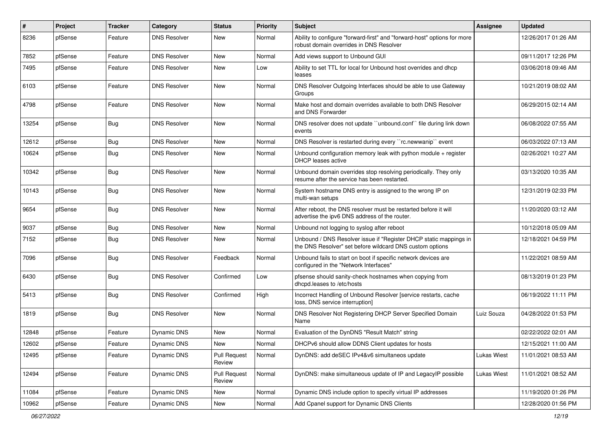| #     | Project | <b>Tracker</b> | Category            | <b>Status</b>                 | <b>Priority</b> | <b>Subject</b>                                                                                                                | <b>Assignee</b>    | <b>Updated</b>      |
|-------|---------|----------------|---------------------|-------------------------------|-----------------|-------------------------------------------------------------------------------------------------------------------------------|--------------------|---------------------|
| 8236  | pfSense | Feature        | <b>DNS Resolver</b> | New                           | Normal          | Ability to configure "forward-first" and "forward-host" options for more<br>robust domain overrides in DNS Resolver           |                    | 12/26/2017 01:26 AM |
| 7852  | pfSense | Feature        | <b>DNS Resolver</b> | New                           | Normal          | Add views support to Unbound GUI                                                                                              |                    | 09/11/2017 12:26 PM |
| 7495  | pfSense | Feature        | <b>DNS Resolver</b> | New                           | Low             | Ability to set TTL for local for Unbound host overrides and dhcp<br>leases                                                    |                    | 03/06/2018 09:46 AM |
| 6103  | pfSense | Feature        | <b>DNS Resolver</b> | New                           | Normal          | DNS Resolver Outgoing Interfaces should be able to use Gateway<br>Groups                                                      |                    | 10/21/2019 08:02 AM |
| 4798  | pfSense | Feature        | <b>DNS Resolver</b> | New                           | Normal          | Make host and domain overrides available to both DNS Resolver<br>and DNS Forwarder                                            |                    | 06/29/2015 02:14 AM |
| 13254 | pfSense | Bug            | <b>DNS Resolver</b> | New                           | Normal          | DNS resolver does not update "unbound.conf" file during link down<br>events                                                   |                    | 06/08/2022 07:55 AM |
| 12612 | pfSense | <b>Bug</b>     | <b>DNS Resolver</b> | New                           | Normal          | DNS Resolver is restarted during every "rc.newwanip" event                                                                    |                    | 06/03/2022 07:13 AM |
| 10624 | pfSense | Bug            | <b>DNS Resolver</b> | New                           | Normal          | Unbound configuration memory leak with python module $+$ register<br>DHCP leases active                                       |                    | 02/26/2021 10:27 AM |
| 10342 | pfSense | <b>Bug</b>     | <b>DNS Resolver</b> | <b>New</b>                    | Normal          | Unbound domain overrides stop resolving periodically. They only<br>resume after the service has been restarted.               |                    | 03/13/2020 10:35 AM |
| 10143 | pfSense | <b>Bug</b>     | <b>DNS Resolver</b> | New                           | Normal          | System hostname DNS entry is assigned to the wrong IP on<br>multi-wan setups                                                  |                    | 12/31/2019 02:33 PM |
| 9654  | pfSense | Bug            | <b>DNS Resolver</b> | New                           | Normal          | After reboot, the DNS resolver must be restarted before it will<br>advertise the ipv6 DNS address of the router.              |                    | 11/20/2020 03:12 AM |
| 9037  | pfSense | Bug            | <b>DNS Resolver</b> | New                           | Normal          | Unbound not logging to syslog after reboot                                                                                    |                    | 10/12/2018 05:09 AM |
| 7152  | pfSense | Bug            | <b>DNS Resolver</b> | New                           | Normal          | Unbound / DNS Resolver issue if "Register DHCP static mappings in<br>the DNS Resolver" set before wildcard DNS custom options |                    | 12/18/2021 04:59 PM |
| 7096  | pfSense | Bug            | <b>DNS Resolver</b> | Feedback                      | Normal          | Unbound fails to start on boot if specific network devices are<br>configured in the "Network Interfaces"                      |                    | 11/22/2021 08:59 AM |
| 6430  | pfSense | <b>Bug</b>     | <b>DNS Resolver</b> | Confirmed                     | Low             | pfsense should sanity-check hostnames when copying from<br>dhcpd.leases to /etc/hosts                                         |                    | 08/13/2019 01:23 PM |
| 5413  | pfSense | Bug            | <b>DNS Resolver</b> | Confirmed                     | High            | Incorrect Handling of Unbound Resolver [service restarts, cache<br>loss, DNS service interruption]                            |                    | 06/19/2022 11:11 PM |
| 1819  | pfSense | Bug            | <b>DNS Resolver</b> | New                           | Normal          | DNS Resolver Not Registering DHCP Server Specified Domain<br>Name                                                             | Luiz Souza         | 04/28/2022 01:53 PM |
| 12848 | pfSense | Feature        | <b>Dynamic DNS</b>  | New                           | Normal          | Evaluation of the DynDNS "Result Match" string                                                                                |                    | 02/22/2022 02:01 AM |
| 12602 | pfSense | Feature        | Dynamic DNS         | New                           | Normal          | DHCPv6 should allow DDNS Client updates for hosts                                                                             |                    | 12/15/2021 11:00 AM |
| 12495 | pfSense | Feature        | Dynamic DNS         | <b>Pull Request</b><br>Review | Normal          | DynDNS: add deSEC IPv4&v6 simultaneos update                                                                                  | <b>Lukas Wiest</b> | 11/01/2021 08:53 AM |
| 12494 | pfSense | Feature        | Dynamic DNS         | <b>Pull Request</b><br>Review | Normal          | DynDNS: make simultaneous update of IP and LegacyIP possible                                                                  | <b>Lukas Wiest</b> | 11/01/2021 08:52 AM |
| 11084 | pfSense | Feature        | Dynamic DNS         | New                           | Normal          | Dynamic DNS include option to specify virtual IP addresses                                                                    |                    | 11/19/2020 01:26 PM |
| 10962 | pfSense | Feature        | Dynamic DNS         | New                           | Normal          | Add Cpanel support for Dynamic DNS Clients                                                                                    |                    | 12/28/2020 01:56 PM |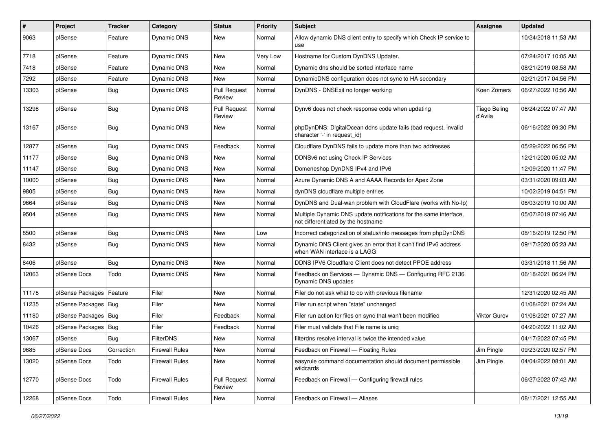| #     | Project                | <b>Tracker</b> | Category              | <b>Status</b>                 | <b>Priority</b> | <b>Subject</b>                                                                                          | <b>Assignee</b>                | <b>Updated</b>      |
|-------|------------------------|----------------|-----------------------|-------------------------------|-----------------|---------------------------------------------------------------------------------------------------------|--------------------------------|---------------------|
| 9063  | pfSense                | Feature        | Dynamic DNS           | New                           | Normal          | Allow dynamic DNS client entry to specify which Check IP service to<br>use                              |                                | 10/24/2018 11:53 AM |
| 7718  | pfSense                | Feature        | Dynamic DNS           | New                           | Very Low        | Hostname for Custom DynDNS Updater.                                                                     |                                | 07/24/2017 10:05 AM |
| 7418  | pfSense                | Feature        | Dynamic DNS           | New                           | Normal          | Dynamic dns should be sorted interface name                                                             |                                | 08/21/2019 08:58 AM |
| 7292  | pfSense                | Feature        | Dynamic DNS           | <b>New</b>                    | Normal          | DynamicDNS configuration does not sync to HA secondary                                                  |                                | 02/21/2017 04:56 PM |
| 13303 | pfSense                | <b>Bug</b>     | Dynamic DNS           | <b>Pull Request</b><br>Review | Normal          | DynDNS - DNSExit no longer working                                                                      | Koen Zomers                    | 06/27/2022 10:56 AM |
| 13298 | pfSense                | Bug            | <b>Dynamic DNS</b>    | <b>Pull Request</b><br>Review | Normal          | Dynv6 does not check response code when updating                                                        | <b>Tiago Beling</b><br>d'Avila | 06/24/2022 07:47 AM |
| 13167 | pfSense                | Bug            | Dynamic DNS           | New                           | Normal          | phpDynDNS: DigitalOcean ddns update fails (bad request, invalid<br>character '-' in request id)         |                                | 06/16/2022 09:30 PM |
| 12877 | pfSense                | <b>Bug</b>     | Dynamic DNS           | Feedback                      | Normal          | Cloudflare DynDNS fails to update more than two addresses                                               |                                | 05/29/2022 06:56 PM |
| 11177 | pfSense                | Bug            | Dynamic DNS           | New                           | Normal          | DDNSv6 not using Check IP Services                                                                      |                                | 12/21/2020 05:02 AM |
| 11147 | pfSense                | <b>Bug</b>     | Dynamic DNS           | New                           | Normal          | Domeneshop DynDNS IPv4 and IPv6                                                                         |                                | 12/09/2020 11:47 PM |
| 10000 | pfSense                | Bug            | Dynamic DNS           | New                           | Normal          | Azure Dynamic DNS A and AAAA Records for Apex Zone                                                      |                                | 03/31/2020 09:03 AM |
| 9805  | pfSense                | Bug            | Dynamic DNS           | New                           | Normal          | dynDNS cloudflare multiple entries                                                                      |                                | 10/02/2019 04:51 PM |
| 9664  | pfSense                | Bug            | Dynamic DNS           | New                           | Normal          | DynDNS and Dual-wan problem with CloudFlare (works with No-Ip)                                          |                                | 08/03/2019 10:00 AM |
| 9504  | pfSense                | <b>Bug</b>     | Dynamic DNS           | New                           | Normal          | Multiple Dynamic DNS update notifications for the same interface,<br>not differentiated by the hostname |                                | 05/07/2019 07:46 AM |
| 8500  | pfSense                | Bug            | Dynamic DNS           | <b>New</b>                    | Low             | Incorrect categorization of status/info messages from phpDynDNS                                         |                                | 08/16/2019 12:50 PM |
| 8432  | pfSense                | Bug            | Dynamic DNS           | New                           | Normal          | Dynamic DNS Client gives an error that it can't find IPv6 address<br>when WAN interface is a LAGG       |                                | 09/17/2020 05:23 AM |
| 8406  | pfSense                | Bug            | Dynamic DNS           | New                           | Normal          | DDNS IPV6 Cloudflare Client does not detect PPOE address                                                |                                | 03/31/2018 11:56 AM |
| 12063 | pfSense Docs           | Todo           | Dynamic DNS           | New                           | Normal          | Feedback on Services — Dynamic DNS — Configuring RFC 2136<br>Dynamic DNS updates                        |                                | 06/18/2021 06:24 PM |
| 11178 | pfSense Packages       | Feature        | Filer                 | <b>New</b>                    | Normal          | Filer do not ask what to do with previous filename                                                      |                                | 12/31/2020 02:45 AM |
| 11235 | pfSense Packages   Bug |                | Filer                 | New                           | Normal          | Filer run script when "state" unchanged                                                                 |                                | 01/08/2021 07:24 AM |
| 11180 | pfSense Packages   Bug |                | Filer                 | Feedback                      | Normal          | Filer run action for files on sync that wan't been modified                                             | <b>Viktor Gurov</b>            | 01/08/2021 07:27 AM |
| 10426 | pfSense Packages       | <b>Bug</b>     | Filer                 | Feedback                      | Normal          | Filer must validate that File name is unig                                                              |                                | 04/20/2022 11:02 AM |
| 13067 | pfSense                | Bug            | FilterDNS             | New                           | Normal          | filterdns resolve interval is twice the intended value                                                  |                                | 04/17/2022 07:45 PM |
| 9685  | pfSense Docs           | Correction     | <b>Firewall Rules</b> | New                           | Normal          | Feedback on Firewall - Floating Rules                                                                   | Jim Pingle                     | 09/23/2020 02:57 PM |
| 13020 | pfSense Docs           | Todo           | <b>Firewall Rules</b> | New                           | Normal          | easyrule command documentation should document permissible<br>wildcards                                 | Jim Pingle                     | 04/04/2022 08:01 AM |
| 12770 | pfSense Docs           | Todo           | <b>Firewall Rules</b> | <b>Pull Request</b><br>Review | Normal          | Feedback on Firewall - Configuring firewall rules                                                       |                                | 06/27/2022 07:42 AM |
| 12268 | pfSense Docs           | Todo           | <b>Firewall Rules</b> | New                           | Normal          | Feedback on Firewall - Aliases                                                                          |                                | 08/17/2021 12:55 AM |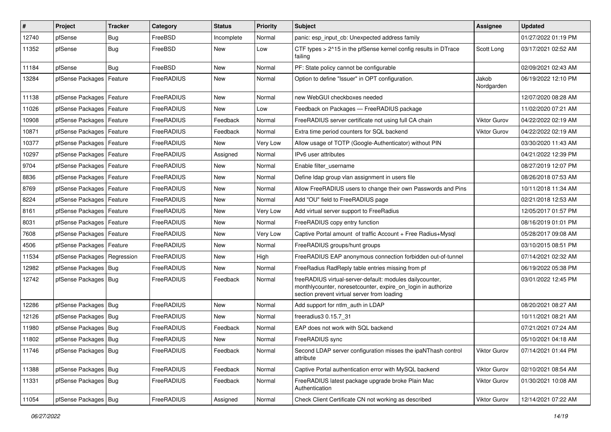| $\vert$ # | Project                       | <b>Tracker</b> | Category   | <b>Status</b> | <b>Priority</b> | Subject                                                                                                                                                                 | <b>Assignee</b>     | <b>Updated</b>      |
|-----------|-------------------------------|----------------|------------|---------------|-----------------|-------------------------------------------------------------------------------------------------------------------------------------------------------------------------|---------------------|---------------------|
| 12740     | pfSense                       | <b>Bug</b>     | FreeBSD    | Incomplete    | Normal          | panic: esp input cb: Unexpected address family                                                                                                                          |                     | 01/27/2022 01:19 PM |
| 11352     | pfSense                       | Bug            | FreeBSD    | New           | Low             | CTF types > 2^15 in the pfSense kernel config results in DTrace<br>failing                                                                                              | Scott Long          | 03/17/2021 02:52 AM |
| 11184     | pfSense                       | Bug            | FreeBSD    | New           | Normal          | PF: State policy cannot be configurable                                                                                                                                 |                     | 02/09/2021 02:43 AM |
| 13284     | pfSense Packages              | Feature        | FreeRADIUS | New           | Normal          | Option to define "Issuer" in OPT configuration.                                                                                                                         | Jakob<br>Nordgarden | 06/19/2022 12:10 PM |
| 11138     | pfSense Packages   Feature    |                | FreeRADIUS | New           | Normal          | new WebGUI checkboxes needed                                                                                                                                            |                     | 12/07/2020 08:28 AM |
| 11026     | pfSense Packages   Feature    |                | FreeRADIUS | <b>New</b>    | Low             | Feedback on Packages - FreeRADIUS package                                                                                                                               |                     | 11/02/2020 07:21 AM |
| 10908     | pfSense Packages   Feature    |                | FreeRADIUS | Feedback      | Normal          | FreeRADIUS server certificate not using full CA chain                                                                                                                   | <b>Viktor Gurov</b> | 04/22/2022 02:19 AM |
| 10871     | pfSense Packages   Feature    |                | FreeRADIUS | Feedback      | Normal          | Extra time period counters for SQL backend                                                                                                                              | <b>Viktor Gurov</b> | 04/22/2022 02:19 AM |
| 10377     | pfSense Packages   Feature    |                | FreeRADIUS | New           | Very Low        | Allow usage of TOTP (Google-Authenticator) without PIN                                                                                                                  |                     | 03/30/2020 11:43 AM |
| 10297     | pfSense Packages   Feature    |                | FreeRADIUS | Assigned      | Normal          | IPv6 user attributes                                                                                                                                                    |                     | 04/21/2022 12:39 PM |
| 9704      | pfSense Packages   Feature    |                | FreeRADIUS | New           | Normal          | Enable filter username                                                                                                                                                  |                     | 08/27/2019 12:07 PM |
| 8836      | pfSense Packages   Feature    |                | FreeRADIUS | New           | Normal          | Define Idap group vlan assignment in users file                                                                                                                         |                     | 08/26/2018 07:53 AM |
| 8769      | pfSense Packages   Feature    |                | FreeRADIUS | New           | Normal          | Allow FreeRADIUS users to change their own Passwords and Pins                                                                                                           |                     | 10/11/2018 11:34 AM |
| 8224      | pfSense Packages   Feature    |                | FreeRADIUS | New           | Normal          | Add "OU" field to FreeRADIUS page                                                                                                                                       |                     | 02/21/2018 12:53 AM |
| 8161      | pfSense Packages   Feature    |                | FreeRADIUS | New           | Very Low        | Add virtual server support to FreeRadius                                                                                                                                |                     | 12/05/2017 01:57 PM |
| 8031      | pfSense Packages   Feature    |                | FreeRADIUS | New           | Normal          | FreeRADIUS copy entry function                                                                                                                                          |                     | 08/16/2019 01:01 PM |
| 7608      | pfSense Packages   Feature    |                | FreeRADIUS | New           | Very Low        | Captive Portal amount of traffic Account + Free Radius+Mysql                                                                                                            |                     | 05/28/2017 09:08 AM |
| 4506      | pfSense Packages   Feature    |                | FreeRADIUS | New           | Normal          | FreeRADIUS groups/hunt groups                                                                                                                                           |                     | 03/10/2015 08:51 PM |
| 11534     | pfSense Packages   Regression |                | FreeRADIUS | New           | High            | FreeRADIUS EAP anonymous connection forbidden out-of-tunnel                                                                                                             |                     | 07/14/2021 02:32 AM |
| 12982     | pfSense Packages   Bug        |                | FreeRADIUS | New           | Normal          | FreeRadius RadReply table entries missing from pf                                                                                                                       |                     | 06/19/2022 05:38 PM |
| 12742     | pfSense Packages   Bug        |                | FreeRADIUS | Feedback      | Normal          | freeRADIUS virtual-server-default: modules dailycounter,<br>monthlycounter, noresetcounter, expire_on_login in authorize<br>section prevent virtual server from loading |                     | 03/01/2022 12:45 PM |
| 12286     | pfSense Packages   Bug        |                | FreeRADIUS | <b>New</b>    | Normal          | Add support for ntlm auth in LDAP                                                                                                                                       |                     | 08/20/2021 08:27 AM |
| 12126     | pfSense Packages Bug          |                | FreeRADIUS | New           | Normal          | freeradius3 0.15.7 31                                                                                                                                                   |                     | 10/11/2021 08:21 AM |
| 11980     | pfSense Packages   Bug        |                | FreeRADIUS | Feedback      | Normal          | EAP does not work with SQL backend                                                                                                                                      |                     | 07/21/2021 07:24 AM |
| 11802     | pfSense Packages   Bug        |                | FreeRADIUS | New           | Normal          | FreeRADIUS sync                                                                                                                                                         |                     | 05/10/2021 04:18 AM |
| 11746     | pfSense Packages   Bug        |                | FreeRADIUS | Feedback      | Normal          | Second LDAP server configuration misses the ipaNThash control<br>attribute                                                                                              | Viktor Gurov        | 07/14/2021 01:44 PM |
| 11388     | pfSense Packages Bug          |                | FreeRADIUS | Feedback      | Normal          | Captive Portal authentication error with MySQL backend                                                                                                                  | Viktor Gurov        | 02/10/2021 08:54 AM |
| 11331     | pfSense Packages   Bug        |                | FreeRADIUS | Feedback      | Normal          | FreeRADIUS latest package upgrade broke Plain Mac<br>Authentication                                                                                                     | Viktor Gurov        | 01/30/2021 10:08 AM |
| 11054     | pfSense Packages   Bug        |                | FreeRADIUS | Assigned      | Normal          | Check Client Certificate CN not working as described                                                                                                                    | Viktor Gurov        | 12/14/2021 07:22 AM |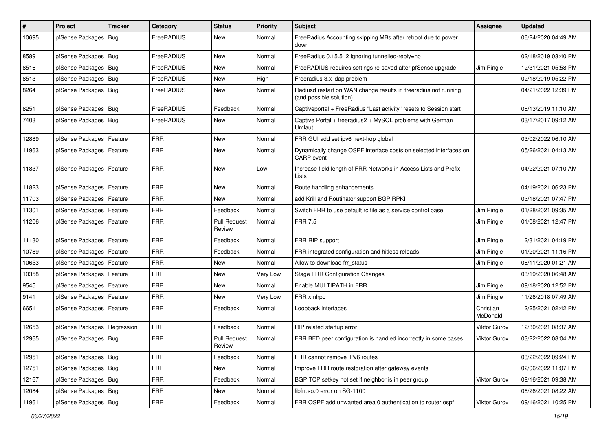| $\vert$ # | Project                    | <b>Tracker</b> | Category    | <b>Status</b>                 | <b>Priority</b> | Subject                                                                                    | Assignee              | <b>Updated</b>      |
|-----------|----------------------------|----------------|-------------|-------------------------------|-----------------|--------------------------------------------------------------------------------------------|-----------------------|---------------------|
| 10695     | pfSense Packages           | Bug            | FreeRADIUS  | New                           | Normal          | FreeRadius Accounting skipping MBs after reboot due to power<br>down                       |                       | 06/24/2020 04:49 AM |
| 8589      | pfSense Packages   Bug     |                | FreeRADIUS  | <b>New</b>                    | Normal          | FreeRadius 0.15.5 2 ignoring tunnelled-reply=no                                            |                       | 02/18/2019 03:40 PM |
| 8516      | pfSense Packages   Bug     |                | FreeRADIUS  | <b>New</b>                    | Normal          | FreeRADIUS requires settings re-saved after pfSense upgrade                                | Jim Pingle            | 12/31/2021 05:58 PM |
| 8513      | pfSense Packages           | Bug            | FreeRADIUS  | <b>New</b>                    | High            | Freeradius 3.x Idap problem                                                                |                       | 02/18/2019 05:22 PM |
| 8264      | pfSense Packages   Bug     |                | FreeRADIUS  | <b>New</b>                    | Normal          | Radiusd restart on WAN change results in freeradius not running<br>(and possible solution) |                       | 04/21/2022 12:39 PM |
| 8251      | pfSense Packages   Bug     |                | FreeRADIUS  | Feedback                      | Normal          | Captiveportal + FreeRadius "Last activity" resets to Session start                         |                       | 08/13/2019 11:10 AM |
| 7403      | pfSense Packages   Bug     |                | FreeRADIUS  | New                           | Normal          | Captive Portal + freeradius2 + MySQL problems with German<br>Umlaut                        |                       | 03/17/2017 09:12 AM |
| 12889     | pfSense Packages           | Feature        | <b>FRR</b>  | <b>New</b>                    | Normal          | FRR GUI add set ipv6 next-hop global                                                       |                       | 03/02/2022 06:10 AM |
| 11963     | pfSense Packages           | Feature        | <b>FRR</b>  | <b>New</b>                    | Normal          | Dynamically change OSPF interface costs on selected interfaces on<br><b>CARP</b> event     |                       | 05/26/2021 04:13 AM |
| 11837     | pfSense Packages   Feature |                | <b>FRR</b>  | <b>New</b>                    | Low             | Increase field length of FRR Networks in Access Lists and Prefix<br>Lists                  |                       | 04/22/2021 07:10 AM |
| 11823     | pfSense Packages           | Feature        | <b>FRR</b>  | <b>New</b>                    | Normal          | Route handling enhancements                                                                |                       | 04/19/2021 06:23 PM |
| 11703     | pfSense Packages           | Feature        | <b>FRR</b>  | <b>New</b>                    | Normal          | add Krill and Routinator support BGP RPKI                                                  |                       | 03/18/2021 07:47 PM |
| 11301     | pfSense Packages   Feature |                | <b>FRR</b>  | Feedback                      | Normal          | Switch FRR to use default rc file as a service control base                                | Jim Pingle            | 01/28/2021 09:35 AM |
| 11206     | pfSense Packages           | Feature        | <b>FRR</b>  | <b>Pull Request</b><br>Review | Normal          | <b>FRR 7.5</b>                                                                             | Jim Pingle            | 01/08/2021 12:47 PM |
| 11130     | pfSense Packages   Feature |                | <b>FRR</b>  | Feedback                      | Normal          | FRR RIP support                                                                            | Jim Pingle            | 12/31/2021 04:19 PM |
| 10789     | pfSense Packages   Feature |                | <b>FRR</b>  | Feedback                      | Normal          | FRR integrated configuration and hitless reloads                                           | Jim Pingle            | 01/20/2021 11:16 PM |
| 10653     | pfSense Packages           | Feature        | <b>FRR</b>  | <b>New</b>                    | Normal          | Allow to download frr_status                                                               | Jim Pingle            | 06/11/2020 01:21 AM |
| 10358     | pfSense Packages           | Feature        | <b>FRR</b>  | <b>New</b>                    | Very Low        | <b>Stage FRR Configuration Changes</b>                                                     |                       | 03/19/2020 06:48 AM |
| 9545      | pfSense Packages           | Feature        | <b>FRR</b>  | New                           | Normal          | Enable MULTIPATH in FRR                                                                    | Jim Pingle            | 09/18/2020 12:52 PM |
| 9141      | pfSense Packages           | Feature        | <b>FRR</b>  | <b>New</b>                    | Very Low        | FRR xmlrpc                                                                                 | Jim Pingle            | 11/26/2018 07:49 AM |
| 6651      | pfSense Packages   Feature |                | <b>FRR</b>  | Feedback                      | Normal          | Loopback interfaces                                                                        | Christian<br>McDonald | 12/25/2021 02:42 PM |
| 12653     | pfSense Packages           | Regression     | <b>FRR</b>  | Feedback                      | Normal          | RIP related startup error                                                                  | Viktor Gurov          | 12/30/2021 08:37 AM |
| 12965     | pfSense Packages   Bug     |                | <b>FRR</b>  | <b>Pull Request</b><br>Review | Normal          | FRR BFD peer configuration is handled incorrectly in some cases                            | Viktor Gurov          | 03/22/2022 08:04 AM |
| 12951     | pfSense Packages   Bug     |                | <b>FRR</b>  | Feedback                      | Normal          | FRR cannot remove IPv6 routes                                                              |                       | 03/22/2022 09:24 PM |
| 12751     | pfSense Packages   Bug     |                | <b>FRR</b>  | New                           | Normal          | Improve FRR route restoration after gateway events                                         |                       | 02/06/2022 11:07 PM |
| 12167     | pfSense Packages   Bug     |                | <b>FRR</b>  | Feedback                      | Normal          | BGP TCP setkey not set if neighbor is in peer group                                        | Viktor Gurov          | 09/16/2021 09:38 AM |
| 12084     | pfSense Packages   Bug     |                | <b>FRR</b>  | New                           | Normal          | libfrr.so.0 error on SG-1100                                                               |                       | 06/26/2021 08:22 AM |
| 11961     | pfSense Packages   Bug     |                | ${\sf FRR}$ | Feedback                      | Normal          | FRR OSPF add unwanted area 0 authentication to router ospf                                 | Viktor Gurov          | 09/16/2021 10:25 PM |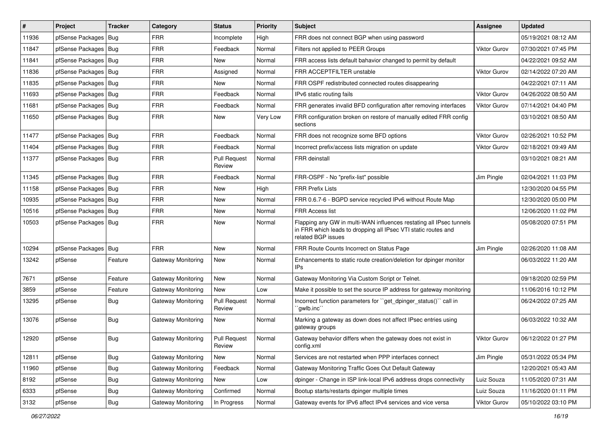| #     | Project                | <b>Tracker</b> | Category           | <b>Status</b>                        | <b>Priority</b> | <b>Subject</b>                                                                                                                                              | Assignee            | <b>Updated</b>      |
|-------|------------------------|----------------|--------------------|--------------------------------------|-----------------|-------------------------------------------------------------------------------------------------------------------------------------------------------------|---------------------|---------------------|
| 11936 | pfSense Packages       | Bug            | FRR                | Incomplete                           | High            | FRR does not connect BGP when using password                                                                                                                |                     | 05/19/2021 08:12 AM |
| 11847 | pfSense Packages   Bug |                | <b>FRR</b>         | Feedback                             | Normal          | Filters not applied to PEER Groups                                                                                                                          | <b>Viktor Gurov</b> | 07/30/2021 07:45 PM |
| 11841 | pfSense Packages       | Bug            | <b>FRR</b>         | New                                  | Normal          | FRR access lists default bahavior changed to permit by default                                                                                              |                     | 04/22/2021 09:52 AM |
| 11836 | pfSense Packages       | Bug            | <b>FRR</b>         | Assigned                             | Normal          | FRR ACCEPTFILTER unstable                                                                                                                                   | <b>Viktor Gurov</b> | 02/14/2022 07:20 AM |
| 11835 | pfSense Packages       | Bug            | <b>FRR</b>         | New                                  | Normal          | FRR OSPF redistributed connected routes disappearing                                                                                                        |                     | 04/22/2021 07:11 AM |
| 11693 | pfSense Packages   Bug |                | <b>FRR</b>         | Feedback                             | Normal          | IPv6 static routing fails                                                                                                                                   | <b>Viktor Gurov</b> | 04/26/2022 08:50 AM |
| 11681 | pfSense Packages   Bug |                | <b>FRR</b>         | Feedback                             | Normal          | FRR generates invalid BFD configuration after removing interfaces                                                                                           | <b>Viktor Gurov</b> | 07/14/2021 04:40 PM |
| 11650 | pfSense Packages   Bug |                | <b>FRR</b>         | New                                  | Very Low        | FRR configuration broken on restore of manually edited FRR config<br>sections                                                                               |                     | 03/10/2021 08:50 AM |
| 11477 | pfSense Packages   Bug |                | <b>FRR</b>         | Feedback                             | Normal          | FRR does not recognize some BFD options                                                                                                                     | <b>Viktor Gurov</b> | 02/26/2021 10:52 PM |
| 11404 | pfSense Packages       | Bug            | <b>FRR</b>         | Feedback                             | Normal          | Incorrect prefix/access lists migration on update                                                                                                           | Viktor Gurov        | 02/18/2021 09:49 AM |
| 11377 | pfSense Packages   Bug |                | <b>FRR</b>         | <b>Pull Request</b><br>Review        | Normal          | <b>FRR</b> deinstall                                                                                                                                        |                     | 03/10/2021 08:21 AM |
| 11345 | pfSense Packages       | Bug            | <b>FRR</b>         | Feedback                             | Normal          | FRR-OSPF - No "prefix-list" possible                                                                                                                        | Jim Pingle          | 02/04/2021 11:03 PM |
| 11158 | pfSense Packages   Bug |                | <b>FRR</b>         | New                                  | High            | <b>FRR Prefix Lists</b>                                                                                                                                     |                     | 12/30/2020 04:55 PM |
| 10935 | pfSense Packages       | Bug            | <b>FRR</b>         | New                                  | Normal          | FRR 0.6.7-6 - BGPD service recycled IPv6 without Route Map                                                                                                  |                     | 12/30/2020 05:00 PM |
| 10516 | pfSense Packages   Bug |                | <b>FRR</b>         | New                                  | Normal          | <b>FRR Access list</b>                                                                                                                                      |                     | 12/06/2020 11:02 PM |
| 10503 | pfSense Packages   Bug |                | <b>FRR</b>         | New                                  | Normal          | Flapping any GW in multi-WAN influences restating all IPsec tunnels<br>in FRR which leads to dropping all IPsec VTI static routes and<br>related BGP issues |                     | 05/08/2020 07:51 PM |
| 10294 | pfSense Packages       | Bug            | <b>FRR</b>         | New                                  | Normal          | FRR Route Counts Incorrect on Status Page                                                                                                                   | Jim Pingle          | 02/26/2020 11:08 AM |
| 13242 | pfSense                | Feature        | Gateway Monitoring | New                                  | Normal          | Enhancements to static route creation/deletion for dpinger monitor<br>IP <sub>s</sub>                                                                       |                     | 06/03/2022 11:20 AM |
| 7671  | pfSense                | Feature        | Gateway Monitoring | <b>New</b>                           | Normal          | Gateway Monitoring Via Custom Script or Telnet.                                                                                                             |                     | 09/18/2020 02:59 PM |
| 3859  | pfSense                | Feature        | Gateway Monitoring | New                                  | Low             | Make it possible to set the source IP address for gateway monitoring                                                                                        |                     | 11/06/2016 10:12 PM |
| 13295 | pfSense                | <b>Bug</b>     | Gateway Monitoring | <b>Pull Request</b><br>Review        | Normal          | Incorrect function parameters for "get_dpinger_status()" call in<br>`qwlb.inc``                                                                             |                     | 06/24/2022 07:25 AM |
| 13076 | pfSense                | Bug            | Gateway Monitoring | New                                  | Normal          | Marking a gateway as down does not affect IPsec entries using<br>gateway groups                                                                             |                     | 06/03/2022 10:32 AM |
| 12920 | pfSense                | Bug            | Gateway Monitoring | <b>Pull Request</b><br><b>Heview</b> | Normal          | Gateway behavior differs when the gateway does not exist in<br>config.xml                                                                                   | <b>Viktor Gurov</b> | 06/12/2022 01:27 PM |
| 12811 | pfSense                | <b>Bug</b>     | Gateway Monitoring | New                                  | Normal          | Services are not restarted when PPP interfaces connect                                                                                                      | Jim Pingle          | 05/31/2022 05:34 PM |
| 11960 | pfSense                | <b>Bug</b>     | Gateway Monitoring | Feedback                             | Normal          | Gateway Monitoring Traffic Goes Out Default Gateway                                                                                                         |                     | 12/20/2021 05:43 AM |
| 8192  | pfSense                | <b>Bug</b>     | Gateway Monitoring | New                                  | Low             | dpinger - Change in ISP link-local IPv6 address drops connectivity                                                                                          | Luiz Souza          | 11/05/2020 07:31 AM |
| 6333  | pfSense                | Bug            | Gateway Monitoring | Confirmed                            | Normal          | Bootup starts/restarts dpinger multiple times                                                                                                               | Luiz Souza          | 11/16/2020 01:11 PM |
| 3132  | pfSense                | Bug            | Gateway Monitoring | In Progress                          | Normal          | Gateway events for IPv6 affect IPv4 services and vice versa                                                                                                 | Viktor Gurov        | 05/10/2022 03:10 PM |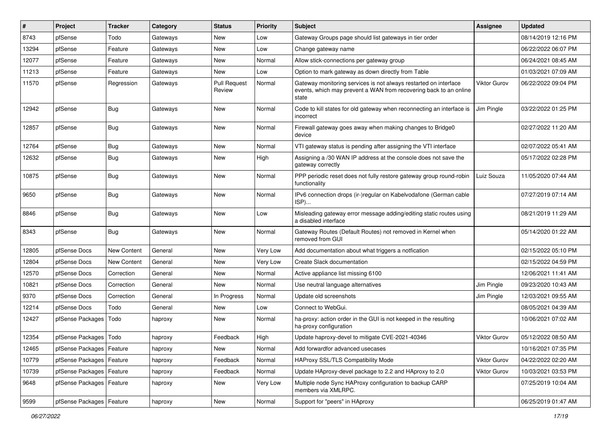| $\#$  | Project                    | <b>Tracker</b> | Category | <b>Status</b>                 | <b>Priority</b> | Subject                                                                                                                                        | Assignee            | <b>Updated</b>      |
|-------|----------------------------|----------------|----------|-------------------------------|-----------------|------------------------------------------------------------------------------------------------------------------------------------------------|---------------------|---------------------|
| 8743  | pfSense                    | Todo           | Gateways | New                           | Low             | Gateway Groups page should list gateways in tier order                                                                                         |                     | 08/14/2019 12:16 PM |
| 13294 | pfSense                    | Feature        | Gateways | <b>New</b>                    | Low             | Change gateway name                                                                                                                            |                     | 06/22/2022 06:07 PM |
| 12077 | pfSense                    | Feature        | Gateways | New                           | Normal          | Allow stick-connections per gateway group                                                                                                      |                     | 06/24/2021 08:45 AM |
| 11213 | pfSense                    | Feature        | Gateways | New                           | Low             | Option to mark gateway as down directly from Table                                                                                             |                     | 01/03/2021 07:09 AM |
| 11570 | pfSense                    | Regression     | Gateways | <b>Pull Request</b><br>Review | Normal          | Gateway monitoring services is not always restarted on interface<br>events, which may prevent a WAN from recovering back to an online<br>state | <b>Viktor Gurov</b> | 06/22/2022 09:04 PM |
| 12942 | pfSense                    | <b>Bug</b>     | Gateways | New                           | Normal          | Code to kill states for old gateway when reconnecting an interface is<br>incorrect                                                             | Jim Pingle          | 03/22/2022 01:25 PM |
| 12857 | pfSense                    | <b>Bug</b>     | Gateways | <b>New</b>                    | Normal          | Firewall gateway goes away when making changes to Bridge0<br>device                                                                            |                     | 02/27/2022 11:20 AM |
| 12764 | pfSense                    | Bug            | Gateways | New                           | Normal          | VTI gateway status is pending after assigning the VTI interface                                                                                |                     | 02/07/2022 05:41 AM |
| 12632 | pfSense                    | Bug            | Gateways | <b>New</b>                    | High            | Assigning a /30 WAN IP address at the console does not save the<br>gateway correctly                                                           |                     | 05/17/2022 02:28 PM |
| 10875 | pfSense                    | Bug            | Gateways | New                           | Normal          | PPP periodic reset does not fully restore gateway group round-robin<br>functionality                                                           | Luiz Souza          | 11/05/2020 07:44 AM |
| 9650  | pfSense                    | <b>Bug</b>     | Gateways | <b>New</b>                    | Normal          | IPv6 connection drops (ir-)regular on Kabelvodafone (German cable<br>ISP)                                                                      |                     | 07/27/2019 07:14 AM |
| 8846  | pfSense                    | Bug            | Gateways | <b>New</b>                    | Low             | Misleading gateway error message adding/editing static routes using<br>a disabled interface                                                    |                     | 08/21/2019 11:29 AM |
| 8343  | pfSense                    | Bug            | Gateways | <b>New</b>                    | Normal          | Gateway Routes (Default Routes) not removed in Kernel when<br>removed from GUI                                                                 |                     | 05/14/2020 01:22 AM |
| 12805 | pfSense Docs               | New Content    | General  | New                           | Very Low        | Add documentation about what triggers a notfication                                                                                            |                     | 02/15/2022 05:10 PM |
| 12804 | pfSense Docs               | New Content    | General  | New                           | Very Low        | Create Slack documentation                                                                                                                     |                     | 02/15/2022 04:59 PM |
| 12570 | pfSense Docs               | Correction     | General  | New                           | Normal          | Active appliance list missing 6100                                                                                                             |                     | 12/06/2021 11:41 AM |
| 10821 | pfSense Docs               | Correction     | General  | New                           | Normal          | Use neutral language alternatives                                                                                                              | Jim Pingle          | 09/23/2020 10:43 AM |
| 9370  | pfSense Docs               | Correction     | General  | In Progress                   | Normal          | Update old screenshots                                                                                                                         | Jim Pingle          | 12/03/2021 09:55 AM |
| 12214 | pfSense Docs               | Todo           | General  | New                           | Low             | Connect to WebGui.                                                                                                                             |                     | 08/05/2021 04:39 AM |
| 12427 | pfSense Packages           | Todo           | haproxy  | New                           | Normal          | ha-proxy: action order in the GUI is not keeped in the resulting<br>ha-proxy configuration                                                     |                     | 10/06/2021 07:02 AM |
| 12354 | pfSense Packages   Todo    |                | haproxy  | Feedback                      | High            | Update haproxy-devel to mitigate CVE-2021-40346                                                                                                | <b>Viktor Gurov</b> | 05/12/2022 08:50 AM |
| 12465 | pfSense Packages   Feature |                | haproxy  | New                           | Normal          | Add forwardfor advanced usecases                                                                                                               |                     | 10/16/2021 07:35 PM |
| 10779 | pfSense Packages           | Feature        | haproxy  | Feedback                      | Normal          | HAProxy SSL/TLS Compatibility Mode                                                                                                             | <b>Viktor Gurov</b> | 04/22/2022 02:20 AM |
| 10739 | pfSense Packages   Feature |                | haproxy  | Feedback                      | Normal          | Update HAproxy-devel package to 2.2 and HAproxy to 2.0                                                                                         | Viktor Gurov        | 10/03/2021 03:53 PM |
| 9648  | pfSense Packages   Feature |                | haproxy  | New                           | Very Low        | Multiple node Sync HAProxy configuration to backup CARP<br>members via XMLRPC.                                                                 |                     | 07/25/2019 10:04 AM |
| 9599  | pfSense Packages           | Feature        | haproxy  | New                           | Normal          | Support for "peers" in HAproxy                                                                                                                 |                     | 06/25/2019 01:47 AM |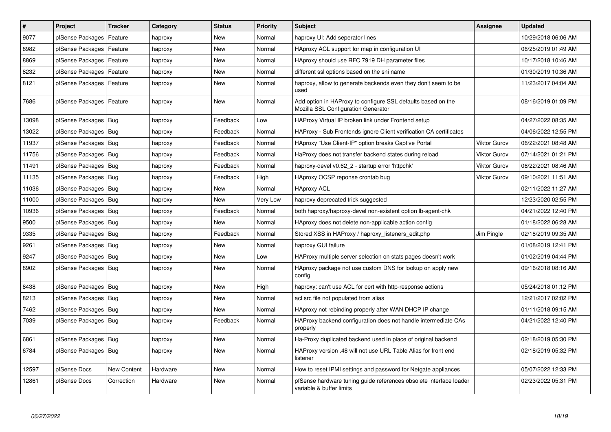| $\vert$ # | Project                    | <b>Tracker</b>     | Category | <b>Status</b> | <b>Priority</b> | <b>Subject</b>                                                                                      | Assignee            | <b>Updated</b>      |
|-----------|----------------------------|--------------------|----------|---------------|-----------------|-----------------------------------------------------------------------------------------------------|---------------------|---------------------|
| 9077      | pfSense Packages           | Feature            | haproxy  | <b>New</b>    | Normal          | haproxy UI: Add seperator lines                                                                     |                     | 10/29/2018 06:06 AM |
| 8982      | pfSense Packages   Feature |                    | haproxy  | New           | Normal          | HAproxy ACL support for map in configuration UI                                                     |                     | 06/25/2019 01:49 AM |
| 8869      | pfSense Packages   Feature |                    | haproxy  | New           | Normal          | HAproxy should use RFC 7919 DH parameter files                                                      |                     | 10/17/2018 10:46 AM |
| 8232      | pfSense Packages           | Feature            | haproxy  | <b>New</b>    | Normal          | different ssl options based on the sni name                                                         |                     | 01/30/2019 10:36 AM |
| 8121      | pfSense Packages   Feature |                    | haproxy  | New           | Normal          | haproxy, allow to generate backends even they don't seem to be<br>used                              |                     | 11/23/2017 04:04 AM |
| 7686      | pfSense Packages   Feature |                    | haproxy  | New           | Normal          | Add option in HAProxy to configure SSL defaults based on the<br>Mozilla SSL Configuration Generator |                     | 08/16/2019 01:09 PM |
| 13098     | pfSense Packages   Bug     |                    | haproxy  | Feedback      | Low             | HAProxy Virtual IP broken link under Frontend setup                                                 |                     | 04/27/2022 08:35 AM |
| 13022     | pfSense Packages   Bug     |                    | haproxy  | Feedback      | Normal          | HAProxy - Sub Frontends ignore Client verification CA certificates                                  |                     | 04/06/2022 12:55 PM |
| 11937     | pfSense Packages   Bug     |                    | haproxy  | Feedback      | Normal          | HAproxy "Use Client-IP" option breaks Captive Portal                                                | <b>Viktor Gurov</b> | 06/22/2021 08:48 AM |
| 11756     | pfSense Packages   Bug     |                    | haproxy  | Feedback      | Normal          | HaProxy does not transfer backend states during reload                                              | <b>Viktor Gurov</b> | 07/14/2021 01:21 PM |
| 11491     | pfSense Packages   Bug     |                    | haproxy  | Feedback      | Normal          | haproxy-devel v0.62_2 - startup error 'httpchk'                                                     | <b>Viktor Gurov</b> | 06/22/2021 08:46 AM |
| 11135     | pfSense Packages           | Bug                | haproxy  | Feedback      | High            | HAproxy OCSP reponse crontab bug                                                                    | <b>Viktor Gurov</b> | 09/10/2021 11:51 AM |
| 11036     | pfSense Packages   Bug     |                    | haproxy  | <b>New</b>    | Normal          | <b>HAproxy ACL</b>                                                                                  |                     | 02/11/2022 11:27 AM |
| 11000     | pfSense Packages   Bug     |                    | haproxy  | New           | Very Low        | haproxy deprecated trick suggested                                                                  |                     | 12/23/2020 02:55 PM |
| 10936     | pfSense Packages   Bug     |                    | haproxy  | Feedback      | Normal          | both haproxy/haproxy-devel non-existent option lb-agent-chk                                         |                     | 04/21/2022 12:40 PM |
| 9500      | pfSense Packages   Bug     |                    | haproxy  | <b>New</b>    | Normal          | HAproxy does not delete non-applicable action config                                                |                     | 01/18/2022 06:28 AM |
| 9335      | pfSense Packages   Bug     |                    | haproxy  | Feedback      | Normal          | Stored XSS in HAProxy / haproxy_listeners_edit.php                                                  | Jim Pingle          | 02/18/2019 09:35 AM |
| 9261      | pfSense Packages   Bug     |                    | haproxy  | New           | Normal          | haproxy GUI failure                                                                                 |                     | 01/08/2019 12:41 PM |
| 9247      | pfSense Packages           | Bug                | haproxy  | New           | Low             | HAProxy multiple server selection on stats pages doesn't work                                       |                     | 01/02/2019 04:44 PM |
| 8902      | pfSense Packages   Bug     |                    | haproxy  | New           | Normal          | HAproxy package not use custom DNS for lookup on apply new<br>config                                |                     | 09/16/2018 08:16 AM |
| 8438      | pfSense Packages   Bug     |                    | haproxy  | New           | High            | haproxy: can't use ACL for cert with http-response actions                                          |                     | 05/24/2018 01:12 PM |
| 8213      | pfSense Packages           | Bug                | haproxy  | New           | Normal          | acl src file not populated from alias                                                               |                     | 12/21/2017 02:02 PM |
| 7462      | pfSense Packages   Bug     |                    | haproxy  | New           | Normal          | HAproxy not rebinding properly after WAN DHCP IP change                                             |                     | 01/11/2018 09:15 AM |
| 7039      | pfSense Packages   Bug     |                    | haproxy  | Feedback      | Normal          | HAProxy backend configuration does not handle intermediate CAs<br>properly                          |                     | 04/21/2022 12:40 PM |
| 6861      | pfSense Packages           | Bug                | haproxy  | New           | Normal          | Ha-Proxy duplicated backend used in place of original backend                                       |                     | 02/18/2019 05:30 PM |
| 6784      | pfSense Packages   Bug     |                    | haproxy  | New           | Normal          | HAProxy version .48 will not use URL Table Alias for front end<br>listener                          |                     | 02/18/2019 05:32 PM |
| 12597     | pfSense Docs               | <b>New Content</b> | Hardware | <b>New</b>    | Normal          | How to reset IPMI settings and password for Netgate appliances                                      |                     | 05/07/2022 12:33 PM |
| 12861     | pfSense Docs               | Correction         | Hardware | <b>New</b>    | Normal          | pfSense hardware tuning guide references obsolete interface loader<br>variable & buffer limits      |                     | 02/23/2022 05:31 PM |